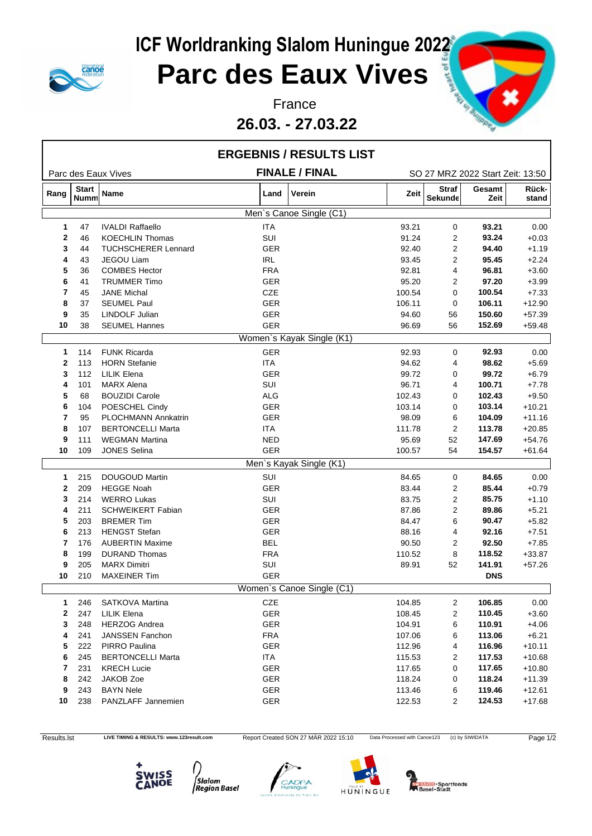

**26.03. - 27.03.22**



|              |                             |                            |            | <b>ERGEBNIS / RESULTS LIST</b> |        |                         |                                  |                |
|--------------|-----------------------------|----------------------------|------------|--------------------------------|--------|-------------------------|----------------------------------|----------------|
|              |                             | Parc des Eaux Vives        |            | <b>FINALE / FINAL</b>          |        |                         | SO 27 MRZ 2022 Start Zeit: 13:50 |                |
| Rang         | <b>Start</b><br><b>Numm</b> | Name                       | Land       | Verein                         | Zeit   | <b>Straf</b><br>Sekunde | Gesamt<br>Zeit                   | Rück-<br>stand |
|              |                             |                            |            | Men's Canoe Single (C1)        |        |                         |                                  |                |
| $\mathbf{1}$ | 47                          | <b>IVALDI Raffaello</b>    | <b>ITA</b> |                                | 93.21  | 0                       | 93.21                            | 0.00           |
| $\mathbf{2}$ | 46                          | <b>KOECHLIN Thomas</b>     | SUI        |                                | 91.24  | 2                       | 93.24                            | $+0.03$        |
| 3            | 44                          | <b>TUCHSCHERER Lennard</b> | <b>GER</b> |                                | 92.40  | 2                       | 94.40                            | $+1.19$        |
| 4            | 43                          | JEGOU Liam                 | IRL        |                                | 93.45  | 2                       | 95.45                            | $+2.24$        |
| 5            | 36                          | <b>COMBES Hector</b>       | <b>FRA</b> |                                | 92.81  | 4                       | 96.81                            | $+3.60$        |
| 6            | 41                          | <b>TRUMMER Timo</b>        | <b>GER</b> |                                | 95.20  | 2                       | 97.20                            | $+3.99$        |
| 7            | 45                          | <b>JANE Michal</b>         | CZE        |                                | 100.54 | 0                       | 100.54                           | $+7.33$        |
| 8            | 37                          | <b>SEUMEL Paul</b>         | <b>GER</b> |                                | 106.11 | 0                       | 106.11                           | $+12.90$       |
| 9            | 35                          | <b>LINDOLF Julian</b>      | <b>GER</b> |                                | 94.60  | 56                      | 150.60                           | $+57.39$       |
| 10           | 38                          | <b>SEUMEL Hannes</b>       | <b>GER</b> |                                | 96.69  | 56                      | 152.69                           | $+59.48$       |
|              |                             |                            |            | Women's Kayak Single (K1)      |        |                         |                                  |                |
| $\mathbf{1}$ | 114                         | <b>FUNK Ricarda</b>        | <b>GER</b> |                                | 92.93  | 0                       | 92.93                            | 0.00           |
| $\mathbf{2}$ | 113                         | <b>HORN</b> Stefanie       | <b>ITA</b> |                                | 94.62  | 4                       | 98.62                            | $+5.69$        |
| 3            | 112                         | <b>LILIK Elena</b>         | <b>GER</b> |                                | 99.72  | 0                       | 99.72                            | $+6.79$        |
| 4            | 101                         | <b>MARX Alena</b>          | SUI        |                                | 96.71  | 4                       | 100.71                           | $+7.78$        |
| 5            | 68                          | <b>BOUZIDI Carole</b>      | <b>ALG</b> |                                | 102.43 | 0                       | 102.43                           | $+9.50$        |
| 6            | 104                         | POESCHEL Cindy             | <b>GER</b> |                                | 103.14 | 0                       | 103.14                           | $+10.21$       |
| 7            | 95                          | <b>PLOCHMANN Annkatrin</b> | <b>GER</b> |                                | 98.09  | 6                       | 104.09                           | $+11.16$       |
| 8            | 107                         | <b>BERTONCELLI Marta</b>   | ITA        |                                | 111.78 | 2                       | 113.78                           | $+20.85$       |
| 9            | 111                         | <b>WEGMAN Martina</b>      | <b>NED</b> |                                | 95.69  | 52                      | 147.69                           | $+54.76$       |
| 10           | 109                         | <b>JONES Selina</b>        | <b>GER</b> |                                | 100.57 | 54                      | 154.57                           | $+61.64$       |
|              |                             |                            |            | Men's Kayak Single (K1)        |        |                         |                                  |                |
| $\mathbf{1}$ | 215                         | DOUGOUD Martin             | SUI        |                                | 84.65  | 0                       | 84.65                            | 0.00           |
| $\mathbf{2}$ | 209                         | <b>HEGGE Noah</b>          | <b>GER</b> |                                | 83.44  | 2                       | 85.44                            | $+0.79$        |
| 3            | 214                         | <b>WERRO Lukas</b>         | SUI        |                                | 83.75  | 2                       | 85.75                            | $+1.10$        |
| 4            | 211                         | <b>SCHWEIKERT Fabian</b>   | <b>GER</b> |                                | 87.86  | 2                       | 89.86                            | $+5.21$        |
| 5            | 203                         | <b>BREMER Tim</b>          | <b>GER</b> |                                | 84.47  | 6                       | 90.47                            | $+5.82$        |
| 6            | 213                         | <b>HENGST Stefan</b>       | <b>GER</b> |                                | 88.16  | 4                       | 92.16                            | $+7.51$        |
| 7            | 176                         | <b>AUBERTIN Maxime</b>     | <b>BEL</b> |                                | 90.50  | 2                       | 92.50                            | $+7.85$        |
| 8            | 199                         | <b>DURAND Thomas</b>       | <b>FRA</b> |                                | 110.52 | 8                       | 118.52                           | $+33.87$       |
| 9            | 205                         | <b>MARX Dimitri</b>        | SUI        |                                | 89.91  | 52                      | 141.91                           | $+57.26$       |
| 10           | 210                         | <b>MAXEINER Tim</b>        | <b>GER</b> |                                |        |                         | <b>DNS</b>                       |                |
|              |                             |                            |            | Women's Canoe Single (C1)      |        |                         |                                  |                |
| $\mathbf 1$  | 246                         | SATKOVA Martina            | CZE        |                                | 104.85 | 2                       | 106.85                           | 0.00           |
| $\mathbf{2}$ | 247                         | <b>LILIK Elena</b>         | GER        |                                | 108.45 | 2                       | 110.45                           | $+3.60$        |
| 3            | 248                         | <b>HERZOG Andrea</b>       | <b>GER</b> |                                | 104.91 | 6                       | 110.91                           | $+4.06$        |
| 4            | 241                         | JANSSEN Fanchon            | <b>FRA</b> |                                | 107.06 | 6                       | 113.06                           | $+6.21$        |
| 5            | 222                         | PIRRO Paulina              | GER        |                                | 112.96 | 4                       | 116.96                           | $+10.11$       |
| 6            | 245                         | <b>BERTONCELLI Marta</b>   | ITA        |                                | 115.53 | 2                       | 117.53                           | $+10.68$       |
| 7            | 231                         | <b>KRECH Lucie</b>         | GER        |                                | 117.65 | 0                       | 117.65                           | $+10.80$       |
| 8            | 242                         | JAKOB Zoe                  | GER        |                                | 118.24 | 0                       | 118.24                           | $+11.39$       |
| 9            | 243                         | <b>BAYN Nele</b>           | <b>GER</b> |                                | 113.46 | 6                       | 119.46                           | $+12.61$       |
| 10           | 238                         | PANZLAFF Jannemien         | <b>GER</b> |                                | 122.53 | $\overline{2}$          | 124.53                           | $+17.68$       |
|              |                             |                            |            |                                |        |                         |                                  |                |

Results.lst LIVE TIMING & RESULTS: www.123result.com Report Created SON 27 MÄR 2022 15:10 Data Processed with Canoe123 (c) by SIWIDATA Page 1/2







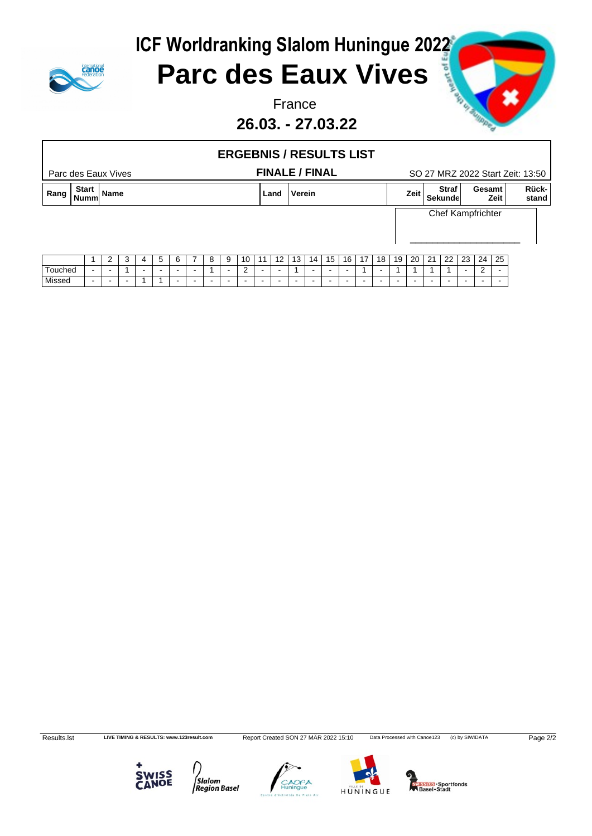

### **Parc des Eaux Vives**

**26.03. - 27.03.22**





Results.lst LIVE TIMING & RESULTS: www.123result.com Report Created SON 27 MÄR 2022 15:10 Data Processed with Canoe123 (c) by SIWIDATA Page 2/2







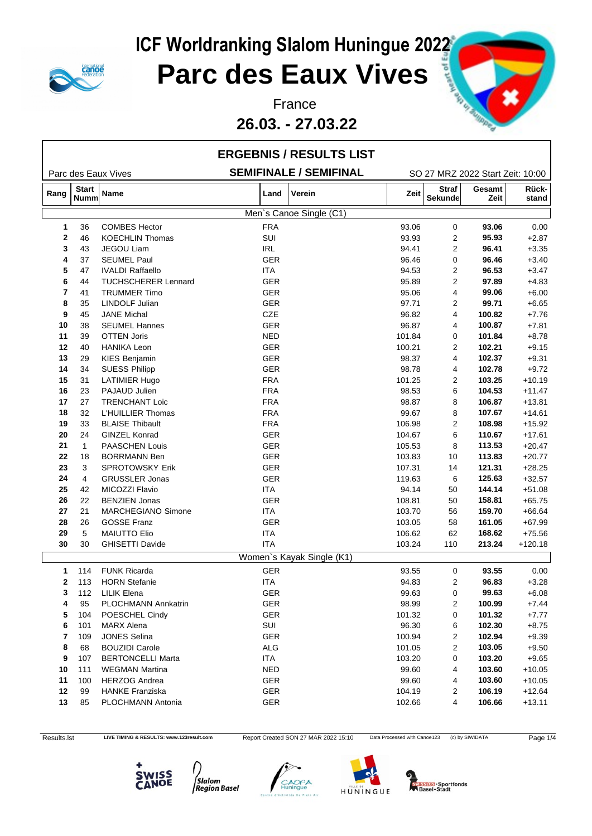

**26.03. - 27.03.22**



|              |                      |                            |            | <b>ERGEBNIS / RESULTS LIST</b> |        |                                |                                  |                |
|--------------|----------------------|----------------------------|------------|--------------------------------|--------|--------------------------------|----------------------------------|----------------|
|              |                      | Parc des Eaux Vives        |            | <b>SEMIFINALE / SEMIFINAL</b>  |        |                                | SO 27 MRZ 2022 Start Zeit: 10:00 |                |
| Rang         | <b>Start</b><br>Numm | <b>Name</b>                | Land       | Verein                         | Zeit   | <b>Straf</b><br><b>Sekunde</b> | Gesamt<br>Zeit                   | Rück-<br>stand |
|              |                      |                            |            | Men's Canoe Single (C1)        |        |                                |                                  |                |
| 1            | 36                   | <b>COMBES Hector</b>       | <b>FRA</b> |                                | 93.06  | 0                              | 93.06                            | 0.00           |
| $\mathbf{2}$ | 46                   | <b>KOECHLIN Thomas</b>     | SUI        |                                | 93.93  | $\overline{c}$                 | 95.93                            | $+2.87$        |
| 3            | 43                   | JEGOU Liam                 | <b>IRL</b> |                                | 94.41  | $\overline{2}$                 | 96.41                            | $+3.35$        |
| 4            | 37                   | <b>SEUMEL Paul</b>         | <b>GER</b> |                                | 96.46  | $\mathbf 0$                    | 96.46                            | $+3.40$        |
| 5            | 47                   | <b>IVALDI Raffaello</b>    | ITA        |                                | 94.53  | 2                              | 96.53                            | $+3.47$        |
| 6            | 44                   | <b>TUCHSCHERER Lennard</b> | <b>GER</b> |                                | 95.89  | $\mathbf{2}$                   | 97.89                            | $+4.83$        |
| 7            | 41                   | <b>TRUMMER Timo</b>        | <b>GER</b> |                                | 95.06  | 4                              | 99.06                            | $+6.00$        |
| 8            | 35                   | <b>LINDOLF Julian</b>      | <b>GER</b> |                                | 97.71  | $\overline{2}$                 | 99.71                            | $+6.65$        |
| 9            | 45                   | <b>JANE Michal</b>         | CZE        |                                | 96.82  | 4                              | 100.82                           | $+7.76$        |
| 10           | 38                   | <b>SEUMEL Hannes</b>       | <b>GER</b> |                                | 96.87  | 4                              | 100.87                           | $+7.81$        |
| 11           | 39                   | <b>OTTEN Joris</b>         | <b>NED</b> |                                | 101.84 | 0                              | 101.84                           | $+8.78$        |
| 12           | 40                   | <b>HANIKA Leon</b>         | <b>GER</b> |                                | 100.21 | $\overline{2}$                 | 102.21                           | $+9.15$        |
| 13           | 29                   | KIES Benjamin              | <b>GER</b> |                                | 98.37  | 4                              | 102.37                           | $+9.31$        |
| 14           | 34                   | <b>SUESS Philipp</b>       | <b>GER</b> |                                | 98.78  | 4                              | 102.78                           | $+9.72$        |
| 15           | 31                   | <b>LATIMIER Hugo</b>       | <b>FRA</b> |                                | 101.25 | $\overline{2}$                 | 103.25                           | $+10.19$       |
| 16           | 23                   | PAJAUD Julien              | <b>FRA</b> |                                | 98.53  | 6                              | 104.53                           | $+11.47$       |
| 17           | 27                   | <b>TRENCHANT Loic</b>      | <b>FRA</b> |                                | 98.87  | 8                              | 106.87                           | $+13.81$       |
| 18           | 32                   | L'HUILLIER Thomas          | <b>FRA</b> |                                | 99.67  | 8                              | 107.67                           | $+14.61$       |
| 19           | 33                   | <b>BLAISE Thibault</b>     | <b>FRA</b> |                                | 106.98 | $\overline{2}$                 | 108.98                           | $+15.92$       |
| 20           | 24                   | <b>GINZEL Konrad</b>       | <b>GER</b> |                                | 104.67 | 6                              | 110.67                           | $+17.61$       |
| 21           | $\mathbf{1}$         | <b>PAASCHEN Louis</b>      | <b>GER</b> |                                | 105.53 | 8                              | 113.53                           | $+20.47$       |
| 22           | 18                   | <b>BORRMANN Ben</b>        | <b>GER</b> |                                | 103.83 | 10                             | 113.83                           | $+20.77$       |
| 23           | 3                    | <b>SPROTOWSKY Erik</b>     | GER        |                                | 107.31 | 14                             | 121.31                           | $+28.25$       |
| 24           | $\overline{4}$       | <b>GRUSSLER Jonas</b>      | <b>GER</b> |                                | 119.63 | 6                              | 125.63                           | $+32.57$       |
| 25           | 42                   | MICOZZI Flavio             | <b>ITA</b> |                                | 94.14  | 50                             | 144.14                           | $+51.08$       |
| 26           | 22                   | <b>BENZIEN Jonas</b>       | <b>GER</b> |                                | 108.81 | 50                             | 158.81                           | $+65.75$       |
| 27           | 21                   | <b>MARCHEGIANO Simone</b>  | <b>ITA</b> |                                | 103.70 | 56                             | 159.70                           | $+66.64$       |
| 28           | 26                   | <b>GOSSE Franz</b>         | <b>GER</b> |                                | 103.05 | 58                             | 161.05                           | $+67.99$       |
| 29           | 5                    | <b>MAIUTTO Elio</b>        | <b>ITA</b> |                                | 106.62 | 62                             | 168.62                           | $+75.56$       |
| 30           | 30                   | <b>GHISETTI Davide</b>     | <b>ITA</b> |                                | 103.24 | 110                            | 213.24                           | $+120.18$      |
|              |                      |                            |            | Women's Kayak Single (K1)      |        |                                |                                  |                |
| $\mathbf 1$  | 114                  | <b>FUNK Ricarda</b>        | GER        |                                | 93.55  | 0                              | 93.55                            | 0.00           |
| $\mathbf{2}$ | 113                  | <b>HORN Stefanie</b>       | <b>ITA</b> |                                | 94.83  | $\overline{2}$                 | 96.83                            | $+3.28$        |
| 3            | 112                  | <b>LILIK Elena</b>         | GER        |                                | 99.63  | 0                              | 99.63                            | $+6.08$        |
| 4            | 95                   | PLOCHMANN Annkatrin        | GER        |                                | 98.99  | 2                              | 100.99                           | $+7.44$        |
| 5            | 104                  | POESCHEL Cindy             | GER        |                                | 101.32 | 0                              | 101.32                           | $+7.77$        |
| 6            | 101                  | <b>MARX Alena</b>          | SUI        |                                | 96.30  | 6                              | 102.30                           | $+8.75$        |
| 7            | 109                  | <b>JONES Selina</b>        | GER        |                                | 100.94 | 2                              | 102.94                           | $+9.39$        |
| 8            | 68                   | <b>BOUZIDI Carole</b>      | <b>ALG</b> |                                | 101.05 | $\overline{c}$                 | 103.05                           | $+9.50$        |
| 9            | 107                  | <b>BERTONCELLI Marta</b>   | ITA        |                                | 103.20 | 0                              | 103.20                           | $+9.65$        |
| 10           | 111                  | <b>WEGMAN Martina</b>      | NED        |                                | 99.60  | 4                              | 103.60                           | $+10.05$       |
| 11           | 100                  | <b>HERZOG Andrea</b>       | GER        |                                | 99.60  | 4                              | 103.60                           | $+10.05$       |
| 12           | 99                   | <b>HANKE Franziska</b>     | GER        |                                | 104.19 | 2                              | 106.19                           | $+12.64$       |
| 13           | 85                   | PLOCHMANN Antonia          | <b>GER</b> |                                | 102.66 | 4                              | 106.66                           | $+13.11$       |

Results.lst LIVE TIMING & RESULTS: www.123result.com Report Created SON 27 MÄR 2022 15:10 Data Processed with Canoe123 (c) by SIWIDATA Page 1/4







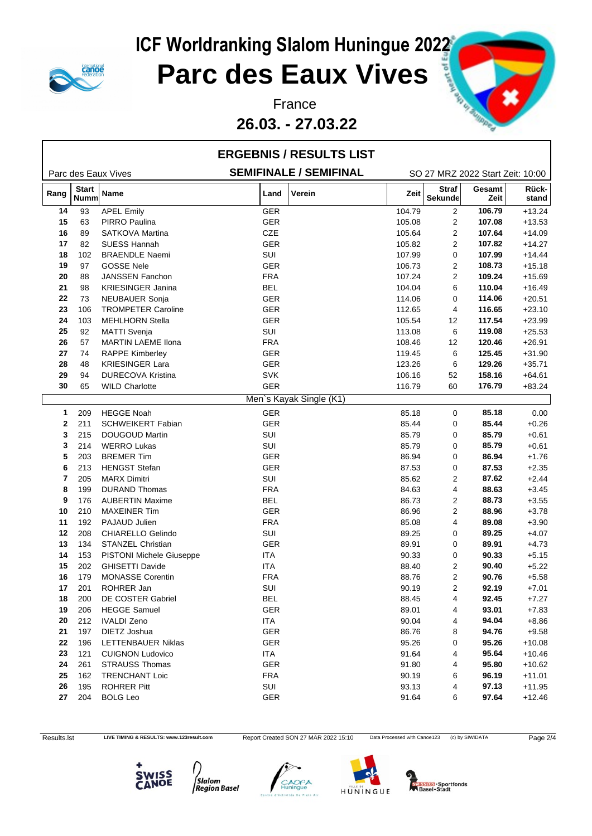

### **Parc des Eaux Vives**

**26.03. - 27.03.22**



|      |                      |                                 |                               | <b>ERGEBNIS / RESULTS LIST</b> |        |                                  |                |                |
|------|----------------------|---------------------------------|-------------------------------|--------------------------------|--------|----------------------------------|----------------|----------------|
|      |                      | Parc des Eaux Vives             | <b>SEMIFINALE / SEMIFINAL</b> |                                |        | SO 27 MRZ 2022 Start Zeit: 10:00 |                |                |
| Rang | <b>Start</b><br>Numm | Name                            | Land                          | Verein                         | Zeit   | <b>Straf</b><br><b>Sekunde</b>   | Gesamt<br>Zeit | Rück-<br>stand |
| 14   | 93                   | <b>APEL Emily</b>               | GER                           |                                | 104.79 | $\overline{2}$                   | 106.79         | $+13.24$       |
| 15   | 63                   | <b>PIRRO Paulina</b>            | <b>GER</b>                    |                                | 105.08 | $\overline{c}$                   | 107.08         | $+13.53$       |
| 16   | 89                   | SATKOVA Martina                 | CZE                           |                                | 105.64 | 2                                | 107.64         | $+14.09$       |
| 17   | 82                   | <b>SUESS Hannah</b>             | GER                           |                                | 105.82 | $\overline{2}$                   | 107.82         | $+14.27$       |
| 18   | 102                  | <b>BRAENDLE Naemi</b>           | SUI                           |                                | 107.99 | 0                                | 107.99         | $+14.44$       |
| 19   | 97                   | <b>GOSSE Nele</b>               | GER                           |                                | 106.73 | 2                                | 108.73         | $+15.18$       |
| 20   | 88                   | JANSSEN Fanchon                 | <b>FRA</b>                    |                                | 107.24 | $\overline{2}$                   | 109.24         | $+15.69$       |
| 21   | 98                   | <b>KRIESINGER Janina</b>        | <b>BEL</b>                    |                                | 104.04 | 6                                | 110.04         | $+16.49$       |
| 22   | 73                   | <b>NEUBAUER Sonja</b>           | GER                           |                                | 114.06 | 0                                | 114.06         | $+20.51$       |
| 23   | 106                  | <b>TROMPETER Caroline</b>       | GER                           |                                | 112.65 | 4                                | 116.65         | $+23.10$       |
| 24   | 103                  | <b>MEHLHORN Stella</b>          | GER                           |                                | 105.54 | 12                               | 117.54         | $+23.99$       |
| 25   | 92                   | <b>MATTI Svenja</b>             | SUI                           |                                | 113.08 | 6                                | 119.08         | $+25.53$       |
| 26   | 57                   | <b>MARTIN LAEME Ilona</b>       | <b>FRA</b>                    |                                | 108.46 | 12                               | 120.46         | $+26.91$       |
| 27   | 74                   | <b>RAPPE Kimberley</b>          | GER                           |                                | 119.45 | 6                                | 125.45         | $+31.90$       |
| 28   | 48                   | <b>KRIESINGER Lara</b>          | GER                           |                                | 123.26 | 6                                | 129.26         | $+35.71$       |
| 29   | 94                   | <b>DURECOVA Kristina</b>        | <b>SVK</b>                    |                                | 106.16 | 52                               | 158.16         | $+64.61$       |
| 30   | 65                   | <b>WILD Charlotte</b>           | GER                           |                                | 116.79 | 60                               | 176.79         | $+83.24$       |
|      |                      |                                 |                               | Men's Kayak Single (K1)        |        |                                  |                |                |
| 1    | 209                  | <b>HEGGE Noah</b>               | <b>GER</b>                    |                                | 85.18  | 0                                | 85.18          | 0.00           |
| 2    | 211                  | <b>SCHWEIKERT Fabian</b>        | GER                           |                                | 85.44  | 0                                | 85.44          | $+0.26$        |
| 3    | 215                  | <b>DOUGOUD Martin</b>           | SUI                           |                                | 85.79  | 0                                | 85.79          | $+0.61$        |
| 3    | 214                  | <b>WERRO Lukas</b>              | SUI                           |                                | 85.79  | 0                                | 85.79          | $+0.61$        |
| 5    | 203                  | <b>BREMER Tim</b>               | GER                           |                                | 86.94  | 0                                | 86.94          | $+1.76$        |
| 6    | 213                  | <b>HENGST Stefan</b>            | GER                           |                                | 87.53  | 0                                | 87.53          | $+2.35$        |
| 7    | 205                  | <b>MARX Dimitri</b>             | SUI                           |                                | 85.62  | 2                                | 87.62          | $+2.44$        |
| 8    | 199                  | <b>DURAND Thomas</b>            | <b>FRA</b>                    |                                | 84.63  | 4                                | 88.63          | $+3.45$        |
| 9    | 176                  | <b>AUBERTIN Maxime</b>          | <b>BEL</b>                    |                                | 86.73  | 2                                | 88.73          | $+3.55$        |
| 10   | 210                  | <b>MAXEINER Tim</b>             | GER                           |                                | 86.96  | 2                                | 88.96          | $+3.78$        |
| 11   | 192                  | PAJAUD Julien                   | <b>FRA</b>                    |                                | 85.08  | 4                                | 89.08          | $+3.90$        |
| 12   | 208                  | CHIARELLO Gelindo               | SUI                           |                                | 89.25  | 0                                | 89.25          | $+4.07$        |
| 13   | 134                  | STANZEL Christian               | GER                           |                                | 89.91  | 0                                | 89.91          | $+4.73$        |
| 14   | 153                  | <b>PISTONI Michele Giuseppe</b> | <b>ITA</b>                    |                                | 90.33  | 0                                | 90.33          | $+5.15$        |
| 15   | 202                  | <b>GHISETTI Davide</b>          | ITA                           |                                | 88.40  | 2                                | 90.40          | $+5.22$        |
| 16   | 179                  | <b>MONASSE Corentin</b>         | <b>FRA</b>                    |                                | 88.76  | 2                                | 90.76          | $+5.58$        |
| 17   | 201                  | ROHRER Jan                      | SUI                           |                                | 90.19  | 2                                | 92.19          | $+7.01$        |
| 18   | 200                  | DE COSTER Gabriel               | <b>BEL</b>                    |                                | 88.45  | 4                                | 92.45          | $+7.27$        |
| 19   | 206                  | <b>HEGGE Samuel</b>             | GER                           |                                | 89.01  | 4                                | 93.01          | $+7.83$        |
| 20   | 212                  | <b>IVALDI Zeno</b>              | ITA                           |                                | 90.04  | 4                                | 94.04          | $+8.86$        |
| 21   | 197                  | DIETZ Joshua                    | GER                           |                                | 86.76  | 8                                | 94.76          | $+9.58$        |
| 22   | 196                  | LETTENBAUER Niklas              | GER                           |                                | 95.26  | 0                                | 95.26          | $+10.08$       |
| 23   | 121                  | <b>CUIGNON Ludovico</b>         | ITA                           |                                | 91.64  | 4                                | 95.64          | $+10.46$       |
| 24   | 261                  | <b>STRAUSS Thomas</b>           | <b>GER</b>                    |                                | 91.80  | 4                                | 95.80          | $+10.62$       |
| 25   | 162                  | <b>TRENCHANT Loic</b>           | <b>FRA</b>                    |                                | 90.19  | 6                                | 96.19          | $+11.01$       |
| 26   | 195                  | <b>ROHRER Pitt</b>              | SUI                           |                                | 93.13  | 4                                | 97.13          | $+11.95$       |
| 27   | 204                  | <b>BOLG Leo</b>                 | GER                           |                                | 91.64  | 6                                | 97.64          | $+12.46$       |
|      |                      |                                 |                               |                                |        |                                  |                |                |

Results.lst LIVE TIMING & RESULTS: www.123result.com Report Created SON 27 MÄR 2022 15:10 Data Processed with Canoe123 (c) by SIWIDATA Page 2/4







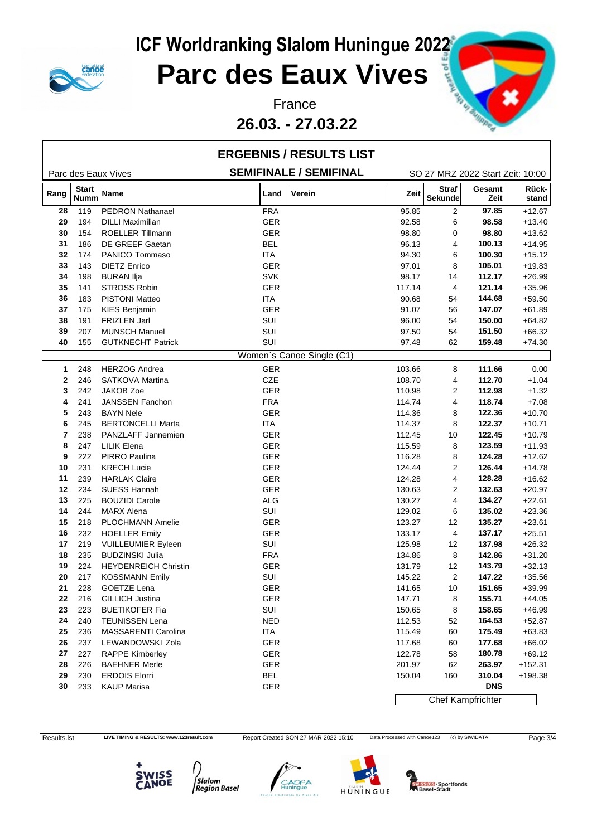

## **ICF Worldranking Slalom Huningue 2022<br>
Parc des Eaux Vives Parc des Eaux Vives**

**26.03. - 27.03.22**



|              |                             |                                                   | <b>ERGEBNIS / RESULTS LIST</b> |                  |                          |                                  |                      |
|--------------|-----------------------------|---------------------------------------------------|--------------------------------|------------------|--------------------------|----------------------------------|----------------------|
|              |                             | Parc des Eaux Vives                               | <b>SEMIFINALE / SEMIFINAL</b>  |                  |                          | SO 27 MRZ 2022 Start Zeit: 10:00 |                      |
| Rang         | <b>Start</b><br><b>Numm</b> | Name                                              | Verein<br>Land                 | Zeit             | <b>Straf</b><br>Sekunde  | Gesamt<br>Zeit                   | Rück-<br>stand       |
| 28           | 119                         | <b>PEDRON Nathanael</b>                           | <b>FRA</b>                     | 95.85            | 2                        | 97.85                            | $+12.67$             |
| 29           | 194                         | <b>DILLI Maximilian</b>                           | GER                            | 92.58            | 6                        | 98.58                            | $+13.40$             |
| 30           | 154                         | <b>ROELLER Tillmann</b>                           | <b>GER</b>                     | 98.80            | 0                        | 98.80                            | $+13.62$             |
| 31           | 186                         | DE GREEF Gaetan                                   | <b>BEL</b>                     | 96.13            | 4                        | 100.13                           | $+14.95$             |
| 32           | 174                         | PANICO Tommaso                                    | ITA                            | 94.30            | 6                        | 100.30                           | $+15.12$             |
| 33           | 143                         | <b>DIETZ Enrico</b>                               | <b>GER</b>                     | 97.01            | 8                        | 105.01                           | $+19.83$             |
| 34           | 198                         | <b>BURAN Ilja</b>                                 | <b>SVK</b>                     | 98.17            | 14                       | 112.17                           | $+26.99$             |
| 35           | 141                         | <b>STROSS Robin</b>                               | GER                            | 117.14           | $\overline{4}$           | 121.14                           | $+35.96$             |
| 36           | 183                         | <b>PISTONI Matteo</b>                             | <b>ITA</b>                     | 90.68            | 54                       | 144.68                           | $+59.50$             |
| 37           | 175                         | <b>KIES Benjamin</b>                              | <b>GER</b>                     | 91.07            | 56                       | 147.07                           | $+61.89$             |
| 38           | 191                         | <b>FRIZLEN Jarl</b>                               | SUI                            | 96.00            | 54                       | 150.00                           | $+64.82$             |
| 39           | 207                         | <b>MUNSCH Manuel</b>                              | SUI                            | 97.50            | 54                       | 151.50                           | $+66.32$             |
| 40           | 155                         | <b>GUTKNECHT Patrick</b>                          | SUI                            | 97.48            | 62                       | 159.48                           | $+74.30$             |
|              |                             |                                                   | Women's Canoe Single (C1)      |                  |                          |                                  |                      |
| $\mathbf{1}$ | 248                         | <b>HERZOG Andrea</b>                              | <b>GER</b>                     | 103.66           | 8                        | 111.66                           | 0.00                 |
| $\mathbf{2}$ | 246                         | <b>SATKOVA Martina</b>                            | CZE                            | 108.70           | 4                        | 112.70                           | $+1.04$              |
| 3            | 242                         | <b>JAKOB Zoe</b>                                  | <b>GER</b>                     | 110.98           | $\overline{2}$           | 112.98                           | $+1.32$              |
| 4            | 241                         | JANSSEN Fanchon                                   | <b>FRA</b>                     | 114.74           | 4                        | 118.74                           | $+7.08$              |
| 5            | 243                         | <b>BAYN Nele</b>                                  | GER                            | 114.36           | 8                        | 122.36                           | $+10.70$             |
| 6            | 245                         | <b>BERTONCELLI Marta</b>                          | <b>ITA</b>                     | 114.37           | 8                        | 122.37                           | $+10.71$             |
| 7            | 238                         | PANZLAFF Jannemien                                | <b>GER</b>                     | 112.45           | 10                       | 122.45                           | $+10.79$             |
| 8            | 247                         | <b>LILIK Elena</b>                                | <b>GER</b>                     | 115.59           | 8                        | 123.59                           | $+11.93$             |
| 9            | 222                         | PIRRO Paulina                                     | GER                            | 116.28           | 8                        | 124.28                           | $+12.62$             |
| 10           | 231                         | <b>KRECH Lucie</b>                                | <b>GER</b>                     | 124.44           | 2                        | 126.44                           | $+14.78$             |
| 11           | 239                         | <b>HARLAK Claire</b>                              | GER                            | 124.28           | 4                        | 128.28                           | $+16.62$             |
| 12           | 234                         | <b>SUESS Hannah</b>                               | <b>GER</b>                     | 130.63           | 2                        | 132.63                           | $+20.97$             |
| 13           | 225                         | <b>BOUZIDI Carole</b>                             | <b>ALG</b>                     | 130.27           | 4                        | 134.27                           | $+22.61$             |
| 14           | 244                         | <b>MARX Alena</b>                                 | SUI                            | 129.02           | 6                        | 135.02                           | $+23.36$             |
| 15           | 218                         | PLOCHMANN Amelie                                  | <b>GER</b>                     | 123.27           | 12                       | 135.27                           | $+23.61$             |
| 16           | 232                         |                                                   |                                |                  |                          | 137.17                           |                      |
| 17           | 219                         | <b>HOELLER Emily</b><br><b>VUILLEUMIER Eyleen</b> | GER<br>SUI                     | 133.17<br>125.98 | 4<br>12                  | 137.98                           | $+25.51$<br>$+26.32$ |
| 18           |                             | <b>BUDZINSKI Julia</b>                            | <b>FRA</b>                     |                  | 8                        | 142.86                           |                      |
| 19           | 235<br>224                  | <b>HEYDENREICH Christin</b>                       | GER                            | 134.86<br>131.79 | $12 \overline{ }$        | 143.79                           | $+31.20$<br>$+32.13$ |
|              |                             |                                                   | SUI                            |                  |                          |                                  |                      |
| 20           | 217                         | <b>KOSSMANN Emily</b>                             |                                | 145.22           | $\overline{2}$           | 147.22                           | $+35.56$             |
| 21           | 228                         | GOETZE Lena                                       | GER                            | 141.65           | 10                       | 151.65                           | $+39.99$             |
| 22           | 216                         | GILLICH Justina                                   | GER                            | 147.71           | 8                        | 155.71                           | $+44.05$             |
| 23           | 223                         | <b>BUETIKOFER Fia</b>                             | SUI                            | 150.65           | 8                        | 158.65                           | $+46.99$             |
| 24           | 240                         | <b>TEUNISSEN Lena</b>                             | <b>NED</b>                     | 112.53           | 52                       | 164.53                           | $+52.87$             |
| 25           | 236                         | MASSARENTI Carolina                               | ITA                            | 115.49           | 60                       | 175.49                           | $+63.83$             |
| 26           | 237                         | LEWANDOWSKI Zola                                  | GER                            | 117.68           | 60                       | 177.68                           | $+66.02$             |
| 27           | 227                         | <b>RAPPE Kimberley</b>                            | GER                            | 122.78           | 58                       | 180.78                           | $+69.12$             |
| 28           | 226                         | <b>BAEHNER Merle</b>                              | GER                            | 201.97           | 62                       | 263.97                           | $+152.31$            |
| 29           | 230                         | <b>ERDOIS Elorri</b>                              | <b>BEL</b>                     | 150.04           | 160                      | 310.04                           | +198.38              |
| 30           | 233                         | <b>KAUP Marisa</b>                                | GER                            |                  |                          | <b>DNS</b>                       |                      |
|              |                             |                                                   |                                |                  | <b>Chef Kampfrichter</b> |                                  |                      |

Results.lst LIVE TIMING & RESULTS: www.123result.com Report Created SON 27 MÄR 2022 15:10 Data Processed with Canoe123 (c) by SIWIDATA Page 3/4









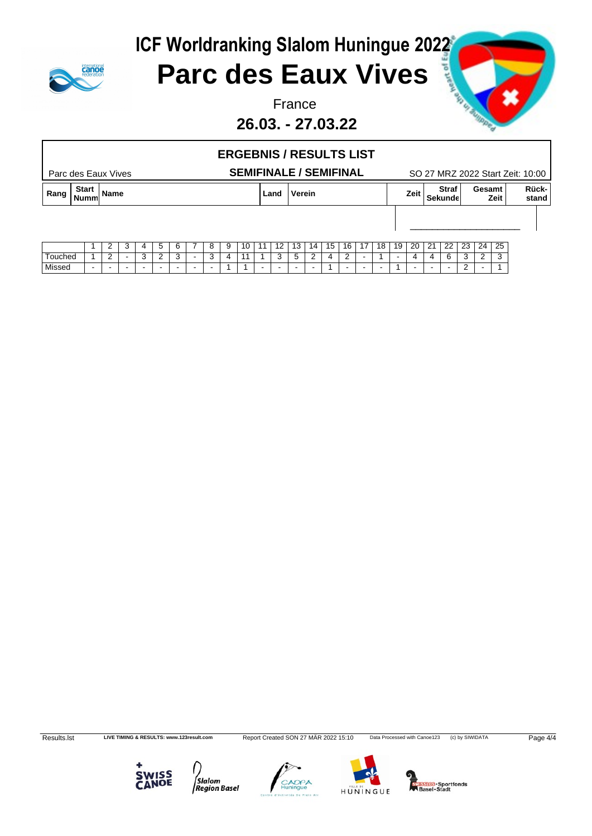



### **Parc des Eaux Vives**

**26.03. - 27.03.22**



#### Parc des Eaux Vives **SEMIFINALE / SEMIFINAL** SO 27 MRZ 2022 Start Zeit: 10:00 **ERGEBNIS / RESULTS LIST Rang Start Nummer is the contract of the contract of the contract of the contract of the contract of the contract of the contract of the contract of the contract of the contract of the contract of the contract of the contract of the** Sekunde**n** Zeit **Gesamt** stand **Rückstand** \_\_\_\_\_\_\_\_\_\_\_\_\_\_\_\_\_\_\_\_

|         |     | $\sim$<br>- | $\overline{ }$ | -<br>. . | $\sim$<br>. . | − | $\Omega$<br> | $\sim$<br>$\cdot$<br>$\cdot$ $\cdot$ | 10 | $\overline{A}$<br>$\mathbf{L}$ | $\overline{a}$<br>14 | . 12<br>ں ا  | -14      | 15           | 16 | 17 | 18 | 19 | 20 | $\sim$<br>∠    | $\cap$<br>__      | $\sim$<br>∼ | 24 | $\sim$<br>-25 |
|---------|-----|-------------|----------------|----------|---------------|---|--------------|--------------------------------------|----|--------------------------------|----------------------|--------------|----------|--------------|----|----|----|----|----|----------------|-------------------|-------------|----|---------------|
| ⊺ouched |     | $\sim$<br>- | $\sim$<br>     | c        | ◠<br>         |   |              | <b>I</b>                             |    |                                | $\sim$<br>$\cdot$    | -<br>$\cdot$ | <u>_</u> | $\mathbf{u}$ | -  |    |    |    |    | $\overline{ }$ | $\sim$<br>$\cdot$ |             | -  | $\sim$<br>ັບ  |
| Missed  | . . |             |                |          |               |   |              |                                      |    |                                |                      |              |          |              |    |    |    |    |    |                |                   | -           |    |               |

Results.lst LIVE TIMING & RESULTS: www.123result.com Report Created SON 27 MÄR 2022 15:10 Data Processed with Canoe123 (c) by SIWIDATA Page 4/4



∫<br>Slalom<br>|Region Basel





**MISSIOS** - Sportfonds<br>Basel - Stadt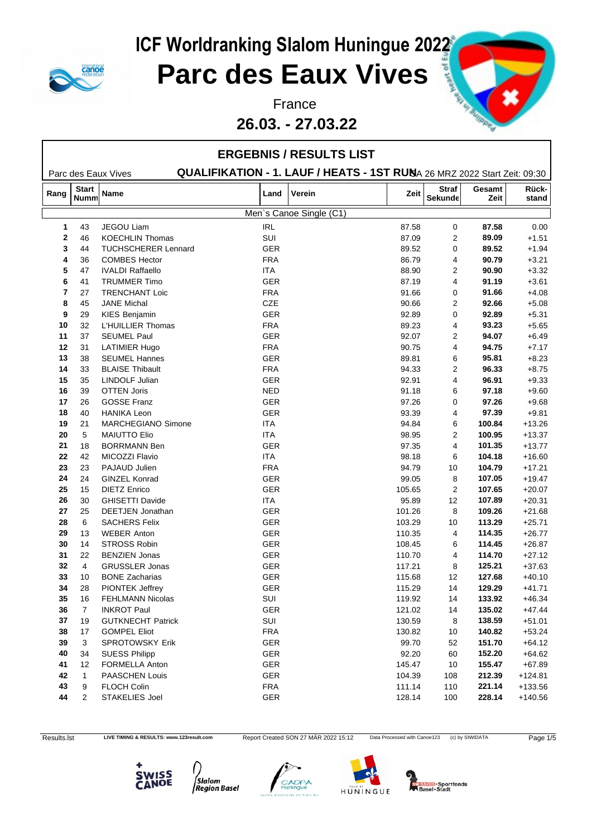

### **Parc des Eaux Vives**

#### **26.03. - 27.03.22**



|              |                      |                            |            | <b>ERGEBNIS / RESULTS LIST</b>                                           |        |                                |                |                |
|--------------|----------------------|----------------------------|------------|--------------------------------------------------------------------------|--------|--------------------------------|----------------|----------------|
|              |                      | Parc des Eaux Vives        |            | QUALIFIKATION - 1. LAUF / HEATS - 1ST RUNA 26 MRZ 2022 Start Zeit: 09:30 |        |                                |                |                |
| Rang         | <b>Start</b><br>Numm | <b>Name</b>                | Land       | Verein                                                                   | Zeit   | <b>Straf</b><br><b>Sekunde</b> | Gesamt<br>Zeit | Rück-<br>stand |
|              |                      |                            |            | Men's Canoe Single (C1)                                                  |        |                                |                |                |
| $\mathbf 1$  | 43                   | <b>JEGOU Liam</b>          | <b>IRL</b> |                                                                          | 87.58  | 0                              | 87.58          | 0.00           |
| $\mathbf{2}$ | 46                   | <b>KOECHLIN Thomas</b>     | SUI        |                                                                          | 87.09  | $\overline{2}$                 | 89.09          | $+1.51$        |
| 3            | 44                   | <b>TUCHSCHERER Lennard</b> | GER        |                                                                          | 89.52  | 0                              | 89.52          | $+1.94$        |
| 4            | 36                   | <b>COMBES Hector</b>       | <b>FRA</b> |                                                                          | 86.79  | 4                              | 90.79          | $+3.21$        |
| 5            | 47                   | <b>IVALDI Raffaello</b>    | <b>ITA</b> |                                                                          | 88.90  | 2                              | 90.90          | $+3.32$        |
| 6            | 41                   | <b>TRUMMER Timo</b>        | GER        |                                                                          | 87.19  | 4                              | 91.19          | $+3.61$        |
| 7            | 27                   | TRENCHANT Loic             | <b>FRA</b> |                                                                          | 91.66  | 0                              | 91.66          | $+4.08$        |
| 8            | 45                   | <b>JANE Michal</b>         | <b>CZE</b> |                                                                          | 90.66  | $\overline{2}$                 | 92.66          | $+5.08$        |
| 9            | 29                   | <b>KIES Benjamin</b>       | GER        |                                                                          | 92.89  | 0                              | 92.89          | $+5.31$        |
| 10           | 32                   | L'HUILLIER Thomas          | <b>FRA</b> |                                                                          | 89.23  | 4                              | 93.23          | $+5.65$        |
| 11           | 37                   | <b>SEUMEL Paul</b>         | GER        |                                                                          | 92.07  | 2                              | 94.07          | $+6.49$        |
| 12           | 31                   | <b>LATIMIER Hugo</b>       | <b>FRA</b> |                                                                          | 90.75  | 4                              | 94.75          | $+7.17$        |
| 13           | 38                   | <b>SEUMEL Hannes</b>       | GER        |                                                                          | 89.81  | 6                              | 95.81          | $+8.23$        |
| 14           | 33                   | <b>BLAISE Thibault</b>     | <b>FRA</b> |                                                                          | 94.33  | 2                              | 96.33          | $+8.75$        |
| 15           | 35                   | LINDOLF Julian             | GER        |                                                                          | 92.91  | 4                              | 96.91          | $+9.33$        |
| 16           | 39                   | <b>OTTEN Joris</b>         | <b>NED</b> |                                                                          | 91.18  | 6                              | 97.18          | $+9.60$        |
| 17           | 26                   | <b>GOSSE Franz</b>         | GER        |                                                                          | 97.26  | 0                              | 97.26          | $+9.68$        |
| 18           | 40                   | <b>HANIKA Leon</b>         | GER        |                                                                          | 93.39  | 4                              | 97.39          | $+9.81$        |
| 19           | 21                   | MARCHEGIANO Simone         | <b>ITA</b> |                                                                          | 94.84  | 6                              | 100.84         | $+13.26$       |
| 20           | 5                    | <b>MAIUTTO Elio</b>        | <b>ITA</b> |                                                                          | 98.95  | 2                              | 100.95         | $+13.37$       |
| 21           | 18                   | <b>BORRMANN Ben</b>        | GER        |                                                                          | 97.35  | 4                              | 101.35         | $+13.77$       |
| 22           | 42                   | MICOZZI Flavio             | <b>ITA</b> |                                                                          | 98.18  | 6                              | 104.18         | $+16.60$       |
| 23           | 23                   | PAJAUD Julien              | <b>FRA</b> |                                                                          | 94.79  | 10                             | 104.79         | $+17.21$       |
| 24           | 24                   | <b>GINZEL Konrad</b>       | GER        |                                                                          | 99.05  | 8                              | 107.05         | $+19.47$       |
| 25           | 15                   | <b>DIETZ Enrico</b>        | GER        |                                                                          | 105.65 | $\overline{c}$                 | 107.65         | $+20.07$       |
| 26           | 30                   | <b>GHISETTI Davide</b>     | <b>ITA</b> |                                                                          | 95.89  | $12 \overline{ }$              | 107.89         | $+20.31$       |
| 27           | 25                   | DEETJEN Jonathan           | GER        |                                                                          | 101.26 | 8                              | 109.26         | $+21.68$       |
| 28           | 6                    | <b>SACHERS Felix</b>       | GER        |                                                                          | 103.29 | 10                             | 113.29         | $+25.71$       |
| 29           | 13                   | <b>WEBER Anton</b>         | GER        |                                                                          | 110.35 | 4                              | 114.35         | $+26.77$       |
| 30           | 14                   | STROSS Robin               | GER        |                                                                          | 108.45 | 6                              | 114.45         | $+26.87$       |
| 31           | 22                   | <b>BENZIEN Jonas</b>       | GER        |                                                                          | 110.70 | 4                              | 114.70         | $+27.12$       |
| 32           | $\overline{4}$       | <b>GRUSSLER Jonas</b>      | GER        |                                                                          | 117.21 | 8                              | 125.21         | $+37.63$       |
| 33           | 10                   | <b>BONE Zacharias</b>      | GER        |                                                                          | 115.68 | 12                             | 127.68         | $+40.10$       |
| 34           | 28                   | PIONTEK Jeffrey            | GER        |                                                                          | 115.29 | 14                             | 129.29         | $+41.71$       |
| 35           | 16                   | <b>FEHLMANN Nicolas</b>    | SUI        |                                                                          | 119.92 | 14                             | 133.92         | $+46.34$       |
| ${\bf 36}$   | 7                    | <b>INKROT Paul</b>         | GER        |                                                                          | 121.02 | 14                             | 135.02         | $+47.44$       |
| 37           | 19                   | <b>GUTKNECHT Patrick</b>   | SUI        |                                                                          | 130.59 | 8                              | 138.59         | $+51.01$       |
| 38           | 17                   | <b>GOMPEL Eliot</b>        | <b>FRA</b> |                                                                          | 130.82 | 10                             | 140.82         | $+53.24$       |
| $39\,$       | 3                    | <b>SPROTOWSKY Erik</b>     | GER        |                                                                          | 99.70  | 52                             | 151.70         | $+64.12$       |
| 40           | 34                   | <b>SUESS Philipp</b>       | <b>GER</b> |                                                                          | 92.20  | 60                             | 152.20         | $+64.62$       |
| 41           | 12                   | FORMELLA Anton             | <b>GER</b> |                                                                          | 145.47 | 10                             | 155.47         | $+67.89$       |
| 42           | $\mathbf{1}$         | <b>PAASCHEN Louis</b>      | GER        |                                                                          | 104.39 | 108                            | 212.39         | $+124.81$      |
| 43           | 9                    | FLOCH Colin                | <b>FRA</b> |                                                                          | 111.14 | 110                            | 221.14         | $+133.56$      |
| 44           | 2                    | STAKELIES Joel             | GER        |                                                                          | 128.14 | 100                            | 228.14         | $+140.56$      |
|              |                      |                            |            |                                                                          |        |                                |                |                |

Results.lst LIVE TIMING & RESULTS: www.123result.com Report Created SON 27 MÄR 2022 15:12 Data Processed with Canoe123 (c) by SIWIDATA Page 1/5









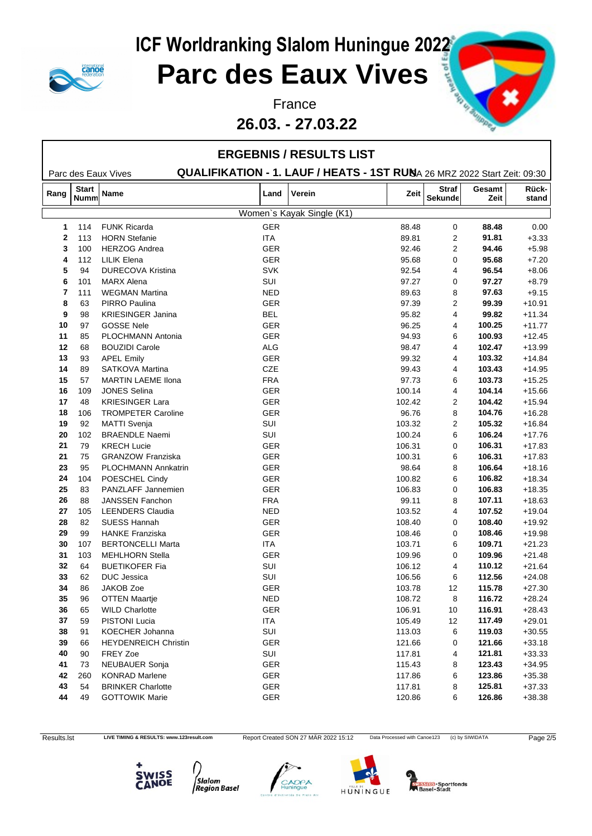

### **Parc des Eaux Vives**

**26.03. - 27.03.22**



|                |              |                             |            | <b>ERGEBNIS / RESULTS LIST</b>                                           |        |                |        |          |
|----------------|--------------|-----------------------------|------------|--------------------------------------------------------------------------|--------|----------------|--------|----------|
|                | <b>Start</b> | Parc des Eaux Vives         |            | QUALIFIKATION - 1. LAUF / HEATS - 1ST RUNA 26 MRZ 2022 Start Zeit: 09:30 |        | <b>Straf</b>   | Gesamt | Rück-    |
| Rang           | <b>Numm</b>  | Name                        | Land       | Verein                                                                   | Zeit   | <b>Sekunde</b> | Zeit   | stand    |
|                |              |                             |            | Women's Kayak Single (K1)                                                |        |                |        |          |
| -1             | 114          | <b>FUNK Ricarda</b>         | <b>GER</b> |                                                                          | 88.48  | 0              | 88.48  | 0.00     |
| $\overline{2}$ | 113          | <b>HORN</b> Stefanie        | <b>ITA</b> |                                                                          | 89.81  | 2              | 91.81  | $+3.33$  |
| 3              | 100          | <b>HERZOG Andrea</b>        | <b>GER</b> |                                                                          | 92.46  | 2              | 94.46  | $+5.98$  |
| 4              | 112          | <b>LILIK Elena</b>          | <b>GER</b> |                                                                          | 95.68  | 0              | 95.68  | $+7.20$  |
| 5              | 94           | <b>DURECOVA Kristina</b>    | <b>SVK</b> |                                                                          | 92.54  | 4              | 96.54  | $+8.06$  |
| 6              | 101          | <b>MARX Alena</b>           | SUI        |                                                                          | 97.27  | 0              | 97.27  | $+8.79$  |
| 7              | 111          | <b>WEGMAN Martina</b>       | <b>NED</b> |                                                                          | 89.63  | 8              | 97.63  | $+9.15$  |
| 8              | 63           | PIRRO Paulina               | GER        |                                                                          | 97.39  | 2              | 99.39  | $+10.91$ |
| 9              | 98           | <b>KRIESINGER Janina</b>    | <b>BEL</b> |                                                                          | 95.82  | 4              | 99.82  | $+11.34$ |
| 10             | 97           | <b>GOSSE Nele</b>           | <b>GER</b> |                                                                          | 96.25  | 4              | 100.25 | $+11.77$ |
| 11             | 85           | PLOCHMANN Antonia           | GER        |                                                                          | 94.93  | 6              | 100.93 | $+12.45$ |
| 12             | 68           | <b>BOUZIDI Carole</b>       | <b>ALG</b> |                                                                          | 98.47  | 4              | 102.47 | $+13.99$ |
| 13             | 93           | <b>APEL Emily</b>           | GER        |                                                                          | 99.32  | 4              | 103.32 | $+14.84$ |
| 14             | 89           | SATKOVA Martina             | <b>CZE</b> |                                                                          | 99.43  | 4              | 103.43 | $+14.95$ |
| 15             | 57           | <b>MARTIN LAEME Ilona</b>   | <b>FRA</b> |                                                                          | 97.73  | 6              | 103.73 | $+15.25$ |
| 16             | 109          | <b>JONES Selina</b>         | <b>GER</b> |                                                                          | 100.14 | 4              | 104.14 | $+15.66$ |
| 17             | 48           | <b>KRIESINGER Lara</b>      | <b>GER</b> |                                                                          | 102.42 | 2              | 104.42 | $+15.94$ |
| 18             | 106          | <b>TROMPETER Caroline</b>   | <b>GER</b> |                                                                          | 96.76  | 8              | 104.76 | $+16.28$ |
| 19             | 92           | <b>MATTI Svenja</b>         | SUI        |                                                                          | 103.32 | $\overline{c}$ | 105.32 | $+16.84$ |
| 20             | 102          | <b>BRAENDLE Naemi</b>       | SUI        |                                                                          | 100.24 | 6              | 106.24 | $+17.76$ |
| 21             | 79           | <b>KRECH Lucie</b>          | <b>GER</b> |                                                                          | 106.31 | 0              | 106.31 | $+17.83$ |
| 21             | 75           | <b>GRANZOW Franziska</b>    | <b>GER</b> |                                                                          | 100.31 | 6              | 106.31 | $+17.83$ |
| 23             | 95           | PLOCHMANN Annkatrin         | GER        |                                                                          | 98.64  | 8              | 106.64 | $+18.16$ |
| 24             | 104          | POESCHEL Cindy              | <b>GER</b> |                                                                          | 100.82 | 6              | 106.82 | $+18.34$ |
| 25             | 83           | PANZLAFF Jannemien          | GER        |                                                                          | 106.83 | 0              | 106.83 | $+18.35$ |
| 26             | 88           | <b>JANSSEN Fanchon</b>      | <b>FRA</b> |                                                                          | 99.11  | 8              | 107.11 | $+18.63$ |
| 27             | 105          | <b>LEENDERS Claudia</b>     | <b>NED</b> |                                                                          | 103.52 | 4              | 107.52 | $+19.04$ |
| 28             | 82           | <b>SUESS Hannah</b>         | <b>GER</b> |                                                                          | 108.40 | 0              | 108.40 | $+19.92$ |
| 29             | 99           | <b>HANKE Franziska</b>      | <b>GER</b> |                                                                          | 108.46 | 0              | 108.46 | $+19.98$ |
| 30             | 107          | <b>BERTONCELLI Marta</b>    | <b>ITA</b> |                                                                          | 103.71 | 6              | 109.71 | $+21.23$ |
| 31             | 103          | <b>MEHLHORN Stella</b>      | GER        |                                                                          | 109.96 | 0              | 109.96 | $+21.48$ |
| 32             | 64           | <b>BUETIKOFER Fia</b>       | SUI        |                                                                          | 106.12 | 4              | 110.12 | $+21.64$ |
| 33             | 62           | <b>DUC</b> Jessica          | SUI        |                                                                          | 106.56 | 6              | 112.56 | $+24.08$ |
| 34             | 86           | JAKOB Zoe                   | <b>GER</b> |                                                                          | 103.78 | 12             | 115.78 | $+27.30$ |
| 35             | 96           | <b>OTTEN Maartje</b>        | <b>NED</b> |                                                                          | 108.72 | 8              | 116.72 | $+28.24$ |
| 36             | 65           | <b>WILD Charlotte</b>       | GER        |                                                                          | 106.91 | 10             | 116.91 | $+28.43$ |
| $37\,$         | 59           | PISTONI Lucia               | ITA        |                                                                          | 105.49 | 12             | 117.49 | $+29.01$ |
| 38             | 91           | KOECHER Johanna             | SUI        |                                                                          | 113.03 | 6              | 119.03 | $+30.55$ |
| 39             | 66           | <b>HEYDENREICH Christin</b> | GER        |                                                                          | 121.66 | 0              | 121.66 | $+33.18$ |
| 40             | 90           | FREY Zoe                    | SUI        |                                                                          | 117.81 | 4              | 121.81 | $+33.33$ |
| 41             | 73           | <b>NEUBAUER Sonja</b>       | GER        |                                                                          | 115.43 | 8              | 123.43 | $+34.95$ |
| 42             | 260          | <b>KONRAD Marlene</b>       | GER        |                                                                          | 117.86 | 6              | 123.86 | $+35.38$ |
| 43             | 54           | <b>BRINKER Charlotte</b>    | GER        |                                                                          | 117.81 | 8              | 125.81 | $+37.33$ |
| 44             | 49           | <b>GOTTOWIK Marie</b>       | GER        |                                                                          | 120.86 | 6              | 126.86 | $+38.38$ |
|                |              |                             |            |                                                                          |        |                |        |          |

Results.lst LIVE TIMING & RESULTS: www.123result.com Report Created SON 27 MÄR 2022 15:12 Data Processed with Canoe123 (c) by SIWIDATA Page 2/5









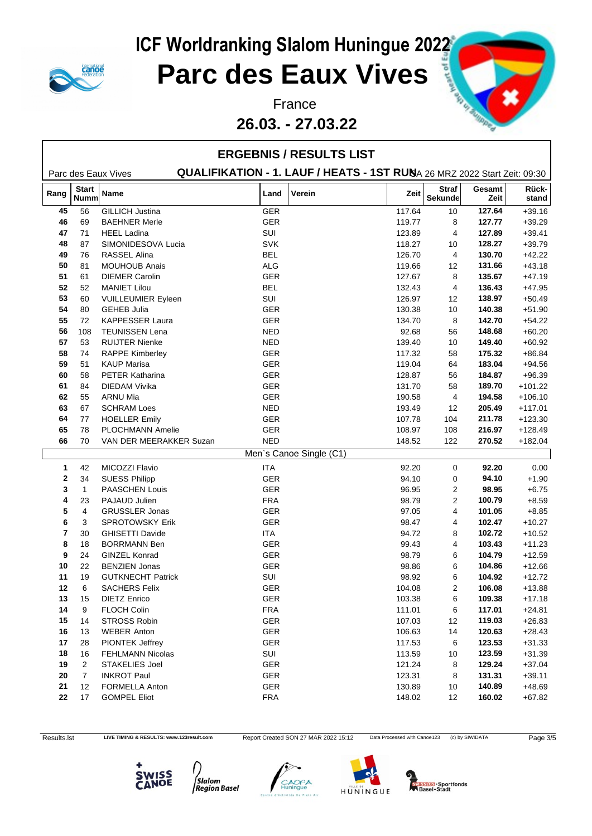

### **Parc des Eaux Vives**

**26.03. - 27.03.22**



|      |                             |                           |            | <b>ERGEBNIS / RESULTS LIST</b>                                           |        |                                |                |                |
|------|-----------------------------|---------------------------|------------|--------------------------------------------------------------------------|--------|--------------------------------|----------------|----------------|
|      |                             | Parc des Eaux Vives       |            | QUALIFIKATION - 1. LAUF / HEATS - 1ST RUNA 26 MRZ 2022 Start Zeit: 09:30 |        |                                |                |                |
| Rang | <b>Start</b><br><b>Numm</b> | Name                      | Land       | Verein                                                                   | Zeit   | <b>Straf</b><br><b>Sekunde</b> | Gesamt<br>Zeit | Rück-<br>stand |
| 45   | 56                          | <b>GILLICH Justina</b>    | GER        |                                                                          | 117.64 | 10                             | 127.64         | $+39.16$       |
| 46   | 69                          | <b>BAEHNER Merle</b>      | <b>GER</b> |                                                                          | 119.77 | 8                              | 127.77         | $+39.29$       |
| 47   | 71                          | <b>HEEL Ladina</b>        | SUI        |                                                                          | 123.89 | 4                              | 127.89         | $+39.41$       |
| 48   | 87                          | SIMONIDESOVA Lucia        | <b>SVK</b> |                                                                          | 118.27 | 10                             | 128.27         | $+39.79$       |
| 49   | 76                          | <b>RASSEL Alina</b>       | <b>BEL</b> |                                                                          | 126.70 | 4                              | 130.70         | $+42.22$       |
| 50   | 81                          | <b>MOUHOUB Anais</b>      | ALG        |                                                                          | 119.66 | 12                             | 131.66         | $+43.18$       |
| 51   | 61                          | <b>DIEMER Carolin</b>     | <b>GER</b> |                                                                          | 127.67 | 8                              | 135.67         | $+47.19$       |
| 52   | 52                          | <b>MANIET Lilou</b>       | <b>BEL</b> |                                                                          | 132.43 | 4                              | 136.43         | $+47.95$       |
| 53   | 60                          | <b>VUILLEUMIER Eyleen</b> | SUI        |                                                                          | 126.97 | 12                             | 138.97         | $+50.49$       |
| 54   | 80                          | <b>GEHEB Julia</b>        | <b>GER</b> |                                                                          | 130.38 | 10                             | 140.38         | $+51.90$       |
| 55   | 72                          | <b>KAPPESSER Laura</b>    | <b>GER</b> |                                                                          | 134.70 | 8                              | 142.70         | $+54.22$       |
| 56   | 108                         | <b>TEUNISSEN Lena</b>     | <b>NED</b> |                                                                          | 92.68  | 56                             | 148.68         | $+60.20$       |
| 57   | 53                          | <b>RUIJTER Nienke</b>     | <b>NED</b> |                                                                          | 139.40 | 10                             | 149.40         | $+60.92$       |
| 58   | 74                          | <b>RAPPE Kimberley</b>    | <b>GER</b> |                                                                          | 117.32 | 58                             | 175.32         | $+86.84$       |
| 59   | 51                          | <b>KAUP Marisa</b>        | <b>GER</b> |                                                                          | 119.04 | 64                             | 183.04         | $+94.56$       |
| 60   | 58                          | <b>PETER Katharina</b>    | <b>GER</b> |                                                                          | 128.87 | 56                             | 184.87         | $+96.39$       |
| 61   | 84                          | <b>DIEDAM Vivika</b>      | <b>GER</b> |                                                                          | 131.70 | 58                             | 189.70         | $+101.22$      |
| 62   | 55                          | <b>ARNU Mia</b>           | <b>GER</b> |                                                                          | 190.58 | 4                              | 194.58         | $+106.10$      |
| 63   | 67                          | <b>SCHRAM Loes</b>        | <b>NED</b> |                                                                          | 193.49 | 12                             | 205.49         | $+117.01$      |
| 64   | 77                          | <b>HOELLER Emily</b>      | <b>GER</b> |                                                                          | 107.78 | 104                            | 211.78         | $+123.30$      |
| 65   | 78                          | PLOCHMANN Amelie          | <b>GER</b> |                                                                          | 108.97 | 108                            | 216.97         | $+128.49$      |
| 66   | 70                          | VAN DER MEERAKKER Suzan   | <b>NED</b> |                                                                          | 148.52 | 122                            | 270.52         | $+182.04$      |
|      |                             |                           |            | Men's Canoe Single (C1)                                                  |        |                                |                |                |
| 1    | 42                          | MICOZZI Flavio            | <b>ITA</b> |                                                                          | 92.20  | 0                              | 92.20          | 0.00           |
| 2    | 34                          | <b>SUESS Philipp</b>      | <b>GER</b> |                                                                          | 94.10  | 0                              | 94.10          | $+1.90$        |
| 3    | $\mathbf{1}$                | PAASCHEN Louis            | <b>GER</b> |                                                                          | 96.95  | 2                              | 98.95          | $+6.75$        |
| 4    | 23                          | PAJAUD Julien             | <b>FRA</b> |                                                                          | 98.79  | 2                              | 100.79         | $+8.59$        |
| 5    | $\overline{4}$              | <b>GRUSSLER Jonas</b>     | <b>GER</b> |                                                                          | 97.05  | 4                              | 101.05         | $+8.85$        |
| 6    | 3                           | <b>SPROTOWSKY Erik</b>    | <b>GER</b> |                                                                          | 98.47  | 4                              | 102.47         | $+10.27$       |
| 7    | 30                          | <b>GHISETTI Davide</b>    | ITA.       |                                                                          | 94.72  | 8                              | 102.72         | $+10.52$       |
| 8    | 18                          | <b>BORRMANN Ben</b>       | <b>GER</b> |                                                                          | 99.43  | 4                              | 103.43         | $+11.23$       |
| 9    | 24                          | <b>GINZEL Konrad</b>      | <b>GER</b> |                                                                          | 98.79  | 6                              | 104.79         | $+12.59$       |
| 10   | 22                          | <b>BENZIEN Jonas</b>      | <b>GER</b> |                                                                          | 98.86  | 6                              | 104.86         | $+12.66$       |
| 11   | 19                          | <b>GUTKNECHT Patrick</b>  | SUI        |                                                                          | 98.92  | 6                              | 104.92         | $+12.72$       |
| 12   | 6                           | <b>SACHERS Felix</b>      | <b>GER</b> |                                                                          | 104.08 | 2                              | 106.08         | $+13.88$       |
| 13   | 15                          | <b>DIETZ Enrico</b>       | <b>GER</b> |                                                                          | 103.38 | 6                              | 109.38         | $+17.18$       |
| 14   | 9                           | FLOCH Colin               | FRA        |                                                                          | 111.01 | 6                              | 117.01         | $+24.81$       |
| 15   | 14                          | STROSS Robin              | <b>GER</b> |                                                                          | 107.03 | 12                             | 119.03         | $+26.83$       |
| 16   | 13                          | <b>WEBER Anton</b>        | GER        |                                                                          | 106.63 | 14                             | 120.63         | $+28.43$       |
| 17   | 28                          | PIONTEK Jeffrey           | GER        |                                                                          | 117.53 | 6                              | 123.53         | $+31.33$       |
| 18   | 16                          | <b>FEHLMANN Nicolas</b>   | SUI        |                                                                          | 113.59 | 10                             | 123.59         | $+31.39$       |
| 19   | 2                           | <b>STAKELIES Joel</b>     | <b>GER</b> |                                                                          | 121.24 | 8                              | 129.24         | $+37.04$       |
| 20   | 7                           | <b>INKROT Paul</b>        | GER        |                                                                          | 123.31 | 8                              | 131.31         | $+39.11$       |
| 21   | 12                          | FORMELLA Anton            | <b>GER</b> |                                                                          | 130.89 | 10                             | 140.89         | $+48.69$       |
| 22   | 17                          | <b>GOMPEL Eliot</b>       | FRA        |                                                                          | 148.02 | 12                             | 160.02         | $+67.82$       |
|      |                             |                           |            |                                                                          |        |                                |                |                |

Results.lst LIVE TIMING & RESULTS: www.123result.com Report Created SON 27 MÄR 2022 15:12 Data Processed with Canoe123 (c) by SIWIDATA Page 3/5









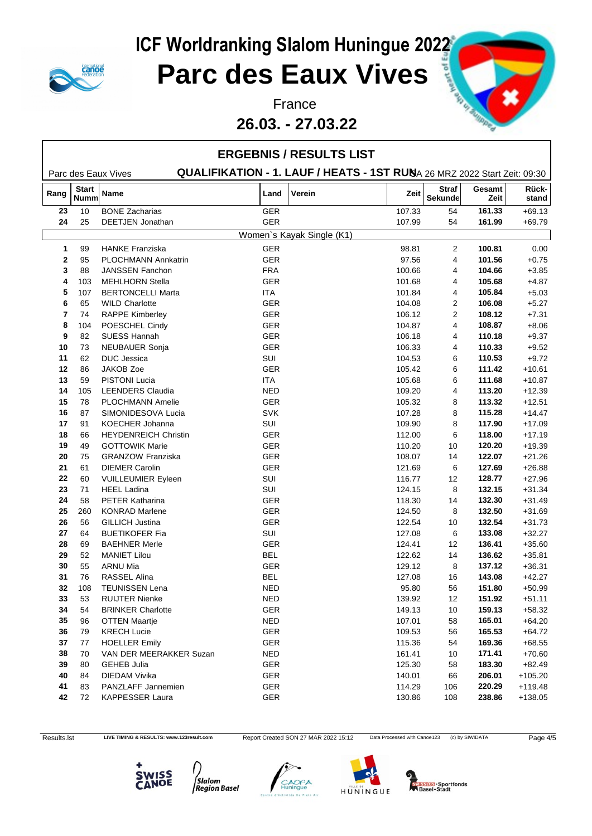

#### **26.03. - 27.03.22**



|              |                             |                             |            | <b>ERGEBNIS / RESULTS LIST</b>                                           |        |                         |                |                       |
|--------------|-----------------------------|-----------------------------|------------|--------------------------------------------------------------------------|--------|-------------------------|----------------|-----------------------|
|              |                             | Parc des Eaux Vives         |            | QUALIFIKATION - 1. LAUF / HEATS - 1ST RUNA 26 MRZ 2022 Start Zeit: 09:30 |        |                         |                |                       |
| Rang         | <b>Start</b><br><b>Numm</b> | <b>Name</b>                 | Land       | Verein                                                                   | Zeit   | <b>Straf</b><br>Sekunde | Gesamt<br>Zeit | Rück-<br>stand        |
| 23           | 10                          | <b>BONE Zacharias</b>       | GER        |                                                                          | 107.33 | 54                      | 161.33         | $+69.13$              |
| 24           | 25                          | DEETJEN Jonathan            | <b>GER</b> |                                                                          | 107.99 | 54                      | 161.99         | $+69.79$              |
|              |                             |                             |            | Women's Kayak Single (K1)                                                |        |                         |                |                       |
| $\mathbf{1}$ | 99                          | <b>HANKE Franziska</b>      | <b>GER</b> |                                                                          | 98.81  | 2                       | 100.81         | 0.00                  |
| $\mathbf{2}$ | 95                          | <b>PLOCHMANN Annkatrin</b>  | GER        |                                                                          | 97.56  | 4                       | 101.56         | $+0.75$               |
| 3            | 88                          | <b>JANSSEN Fanchon</b>      | <b>FRA</b> |                                                                          | 100.66 | 4                       | 104.66         | $+3.85$               |
| 4            | 103                         | <b>MEHLHORN Stella</b>      | <b>GER</b> |                                                                          | 101.68 | 4                       | 105.68         | $+4.87$               |
| 5            | 107                         | <b>BERTONCELLI Marta</b>    | ITA        |                                                                          | 101.84 | 4                       | 105.84         | $+5.03$               |
| 6            | 65                          | <b>WILD Charlotte</b>       | <b>GER</b> |                                                                          | 104.08 | 2                       | 106.08         | $+5.27$               |
| 7            | 74                          | <b>RAPPE Kimberley</b>      | <b>GER</b> |                                                                          | 106.12 | 2                       | 108.12         | $+7.31$               |
| 8            | 104                         | POESCHEL Cindy              | GER        |                                                                          | 104.87 | 4                       | 108.87         | $+8.06$               |
| 9            | 82                          | <b>SUESS Hannah</b>         | <b>GER</b> |                                                                          | 106.18 | 4                       | 110.18         | $+9.37$               |
| 10           | 73                          | <b>NEUBAUER Sonja</b>       | <b>GER</b> |                                                                          | 106.33 | 4                       | 110.33         | $+9.52$               |
| 11           | 62                          | DUC Jessica                 | SUI        |                                                                          | 104.53 | 6                       | 110.53         | $+9.72$               |
| 12           | 86                          | JAKOB Zoe                   | <b>GER</b> |                                                                          | 105.42 | 6                       | 111.42         | $+10.61$              |
| 13           | 59                          | <b>PISTONI Lucia</b>        | ITA.       |                                                                          | 105.68 | 6                       | 111.68         | $+10.87$              |
| 14           | 105                         | <b>LEENDERS Claudia</b>     | <b>NED</b> |                                                                          | 109.20 | 4                       | 113.20         | $+12.39$              |
| 15           | 78                          | <b>PLOCHMANN Amelie</b>     | <b>GER</b> |                                                                          | 105.32 | 8                       | 113.32         | $+12.51$              |
| 16           | 87                          | SIMONIDESOVA Lucia          | <b>SVK</b> |                                                                          | 107.28 | 8                       | 115.28         | $+14.47$              |
| 17           | 91                          | KOECHER Johanna             | SUI        |                                                                          | 109.90 | 8                       | 117.90         | $+17.09$              |
| 18           | 66                          | <b>HEYDENREICH Christin</b> | <b>GER</b> |                                                                          | 112.00 | 6                       | 118.00         | $+17.19$              |
| 19           | 49                          | <b>GOTTOWIK Marie</b>       | GER        |                                                                          | 110.20 | 10                      | 120.20         | $+19.39$              |
| 20           | 75                          | <b>GRANZOW Franziska</b>    | GER        |                                                                          | 108.07 | 14                      | 122.07         | $+21.26$              |
| 21           | 61                          | <b>DIEMER Carolin</b>       | <b>GER</b> |                                                                          | 121.69 | 6                       | 127.69         | $+26.88$              |
| 22           | 60                          | <b>VUILLEUMIER Eyleen</b>   | SUI        |                                                                          | 116.77 | 12                      | 128.77         | $+27.96$              |
| 23           | 71                          | <b>HEEL Ladina</b>          | SUI        |                                                                          | 124.15 | 8                       | 132.15         | $+31.34$              |
| 24           | 58                          | <b>PETER Katharina</b>      | <b>GER</b> |                                                                          | 118.30 | 14                      | 132.30         | $+31.49$              |
| 25           | 260                         | <b>KONRAD Marlene</b>       | GER        |                                                                          | 124.50 | 8                       | 132.50         | $+31.69$              |
| 26           | 56                          | <b>GILLICH Justina</b>      | GER        |                                                                          | 122.54 | 10                      | 132.54         | $+31.73$              |
| 27           | 64                          | <b>BUETIKOFER Fia</b>       | SUI        |                                                                          | 127.08 | 6                       | 133.08         | $+32.27$              |
| 28           | 69                          | <b>BAEHNER Merle</b>        | <b>GER</b> |                                                                          | 124.41 | 12                      | 136.41         | $+35.60$              |
| 29           | 52                          | <b>MANIET Lilou</b>         | <b>BEL</b> |                                                                          | 122.62 | 14                      | 136.62         | $+35.81$              |
| 30           | 55                          | <b>ARNU Mia</b>             | <b>GER</b> |                                                                          | 129.12 | 8                       | 137.12         | $+36.31$              |
| 31           | 76                          | RASSEL Alina                | <b>BEL</b> |                                                                          | 127.08 | 16                      | 143.08         | $+42.27$              |
| 32           | 108                         | <b>TEUNISSEN Lena</b>       | <b>NED</b> |                                                                          | 95.80  | 56                      | 151.80         | $+50.99$              |
| 33           | 53                          | <b>RUIJTER Nienke</b>       | <b>NED</b> |                                                                          | 139.92 | 12                      | 151.92         | $+51.11$              |
| 34           | 54                          | <b>BRINKER Charlotte</b>    | GER        |                                                                          | 149.13 | 10                      | 159.13         | $+58.32$              |
| 35           | 96                          | OTTEN Maartje               | <b>NED</b> |                                                                          | 107.01 | 58                      | 165.01         | $+64.20$              |
| 36           | 79                          | <b>KRECH Lucie</b>          | GER        |                                                                          | 109.53 | 56                      | 165.53         | $+64.72$              |
| 37           | 77                          | <b>HOELLER Emily</b>        | GER        |                                                                          | 115.36 | 54                      | 169.36         | $+68.55$              |
| 38           | 70                          | VAN DER MEERAKKER Suzan     | <b>NED</b> |                                                                          | 161.41 | 10                      | 171.41         | $+70.60$              |
| 39           | 80                          | <b>GEHEB Julia</b>          | GER        |                                                                          | 125.30 | 58                      | 183.30         |                       |
| 40           | 84                          | <b>DIEDAM Vivika</b>        | GER        |                                                                          | 140.01 | 66                      | 206.01         | $+82.49$<br>$+105.20$ |
|              |                             |                             |            |                                                                          |        |                         |                |                       |
| 41           | 83                          | PANZLAFF Jannemien          | GER        |                                                                          | 114.29 | 106                     | 220.29         | $+119.48$             |
| 42           | 72                          | <b>KAPPESSER Laura</b>      | GER        |                                                                          | 130.86 | 108                     | 238.86         | $+138.05$             |

Results.lst LIVE TIMING & RESULTS: www.123result.com Report Created SON 27 MÄR 2022 15:12 Data Processed with Canoe123 (c) by SIWIDATA Page 4/5







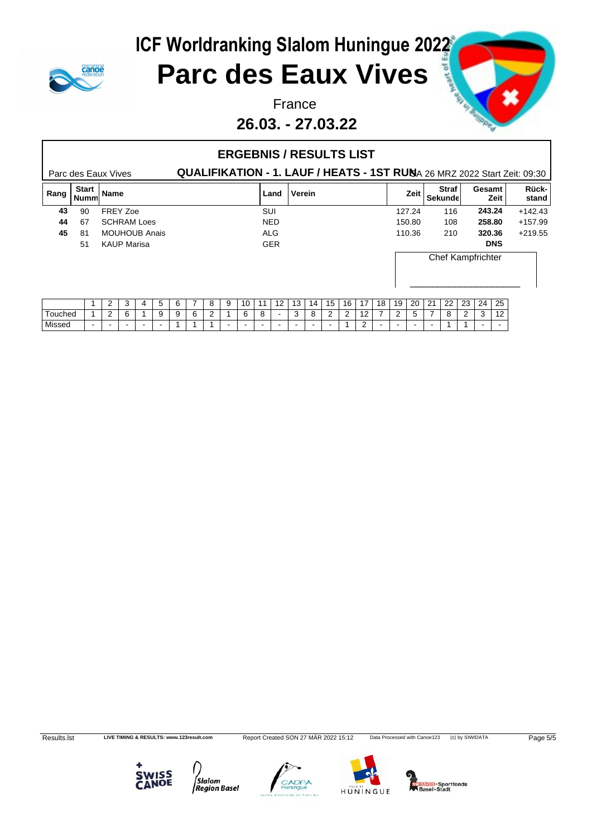#### **ICF Worldranking Slalom Huningue 2022**

### **canot**

## **Parc des Eaux Vives**

#### **26.03. - 27.03.22**



#### Parc des Eaux Vives **QUALIFIKATION - 1. LAUF / HEATS - 1ST RUN**A 26 MRZ 2022 Start Zeit: 09:30 **ERGEBNIS / RESULTS LIST Rang Start Nummer is the contract of the contract of the contract of the contract of the contract of the contract of the contract of the contract of the contract of the contract of the contract of the contract of the contract of the** Sekunde**n** Zeit **Gesamt** stand **Rückstand 43** 90 FREY Zoe SUI 127.24 116 **243.24** +142.43 **44** 67 SCHRAM Loes NED 150.80 108 **258.80** +157.99 **45** 81 MOUHOUB Anais ALG 110.36 210 **320.36** +219.55 51 KAUP Marisa GER **DNS** Chef Kampfrichter \_\_\_\_\_\_\_\_\_\_\_\_\_\_\_\_\_\_\_\_ 1 | 2 | 3 | 4 | 5 | 6 | 7 | 8 | 9 |10 |11 |12 |13 |14 |15 |16 |17 |18 |19 |20 |21 |22 |23 |24 |25 | Touched | 1 | 2 | 6 | 1 | 9 | 9 | 6 | 2 | 1 | 6 | 8 | – | 3 | 8 | 2 | 2 | 12 | 7 | 2 | 5 | 7 | 8 | 2 | 3 | 12 | Missed - - - - - 1 1 1 - - - - - - - 1 2 - - - - 1 1 - -

Results.lst LIVE TIMING & RESULTS: www.123result.com Report Created SON 27 MÄR 2022 15:12 Data Processed with Canoe123 (c) by SIWIDATA Page 5/5



**Slalom Region Basel** 





**MISSIOS** - Sportfonds<br>Basel - Stadt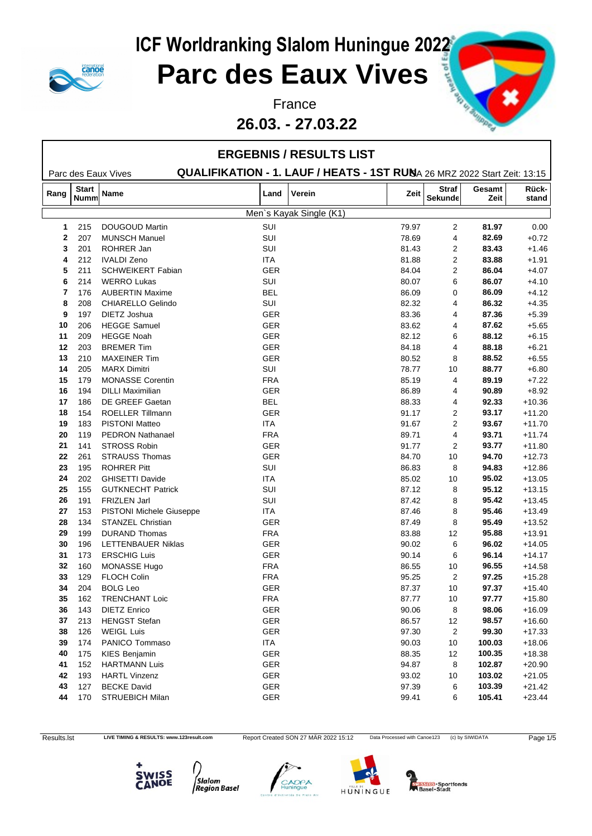

### **Parc des Eaux Vives**

#### **26.03. - 27.03.22**



|                                                                                                 |                      |                          |            | <b>ERGEBNIS / RESULTS LIST</b> |       |                         |                |                |  |  |  |
|-------------------------------------------------------------------------------------------------|----------------------|--------------------------|------------|--------------------------------|-------|-------------------------|----------------|----------------|--|--|--|
| QUALIFIKATION - 1. LAUF / HEATS - 1ST RUNA 26 MRZ 2022 Start Zeit: 13:15<br>Parc des Eaux Vives |                      |                          |            |                                |       |                         |                |                |  |  |  |
| Rang                                                                                            | Start<br><b>Numm</b> | <b>Name</b>              | Land       | Verein                         | Zeit  | <b>Straf</b><br>Sekunde | Gesamt<br>Zeit | Rück-<br>stand |  |  |  |
|                                                                                                 |                      |                          |            | Men's Kayak Single (K1)        |       |                         |                |                |  |  |  |
| $\mathbf 1$                                                                                     | 215                  | <b>DOUGOUD Martin</b>    | SUI        |                                | 79.97 | 2                       | 81.97          | 0.00           |  |  |  |
| $\mathbf{2}$                                                                                    | 207                  | <b>MUNSCH Manuel</b>     | SUI        |                                | 78.69 | 4                       | 82.69          | $+0.72$        |  |  |  |
| 3                                                                                               | 201                  | ROHRER Jan               | SUI        |                                | 81.43 | 2                       | 83.43          | $+1.46$        |  |  |  |
| 4                                                                                               | 212                  | <b>IVALDI Zeno</b>       | <b>ITA</b> |                                | 81.88 | $\overline{\mathbf{c}}$ | 83.88          | $+1.91$        |  |  |  |
| 5                                                                                               | 211                  | <b>SCHWEIKERT Fabian</b> | <b>GER</b> |                                | 84.04 | 2                       | 86.04          | $+4.07$        |  |  |  |
| 6                                                                                               | 214                  | <b>WERRO Lukas</b>       | SUI        |                                | 80.07 | 6                       | 86.07          | $+4.10$        |  |  |  |
| 7                                                                                               | 176                  | <b>AUBERTIN Maxime</b>   | <b>BEL</b> |                                | 86.09 | 0                       | 86.09          | $+4.12$        |  |  |  |
| 8                                                                                               | 208                  | CHIARELLO Gelindo        | SUI        |                                | 82.32 | 4                       | 86.32          | $+4.35$        |  |  |  |
| 9                                                                                               | 197                  | DIETZ Joshua             | GER        |                                | 83.36 | 4                       | 87.36          | $+5.39$        |  |  |  |
| 10                                                                                              | 206                  | <b>HEGGE Samuel</b>      | GER        |                                | 83.62 | 4                       | 87.62          | $+5.65$        |  |  |  |
| 11                                                                                              | 209                  | <b>HEGGE Noah</b>        | GER        |                                | 82.12 | 6                       | 88.12          | $+6.15$        |  |  |  |
| 12                                                                                              | 203                  | <b>BREMER Tim</b>        | GER        |                                | 84.18 | 4                       | 88.18          | $+6.21$        |  |  |  |
| 13                                                                                              | 210                  | <b>MAXEINER Tim</b>      | GER        |                                | 80.52 | 8                       | 88.52          | $+6.55$        |  |  |  |
| 14                                                                                              | 205                  | <b>MARX Dimitri</b>      | SUI        |                                | 78.77 | 10                      | 88.77          | $+6.80$        |  |  |  |
| 15                                                                                              | 179                  | <b>MONASSE Corentin</b>  | <b>FRA</b> |                                | 85.19 | 4                       | 89.19          | $+7.22$        |  |  |  |
| 16                                                                                              | 194                  | <b>DILLI Maximilian</b>  | <b>GER</b> |                                | 86.89 | 4                       | 90.89          | $+8.92$        |  |  |  |
| 17                                                                                              | 186                  | DE GREEF Gaetan          | <b>BEL</b> |                                | 88.33 | 4                       | 92.33          | $+10.36$       |  |  |  |
| 18                                                                                              | 154                  | ROELLER Tillmann         | GER        |                                | 91.17 | 2                       | 93.17          | $+11.20$       |  |  |  |
| 19                                                                                              | 183                  | <b>PISTONI Matteo</b>    | ITA        |                                | 91.67 | 2                       | 93.67          | $+11.70$       |  |  |  |
| 20                                                                                              | 119                  | <b>PEDRON Nathanael</b>  | <b>FRA</b> |                                | 89.71 | 4                       | 93.71          | $+11.74$       |  |  |  |
| 21                                                                                              | 141                  | <b>STROSS Robin</b>      | GER        |                                | 91.77 | 2                       | 93.77          | $+11.80$       |  |  |  |
| 22                                                                                              | 261                  | <b>STRAUSS Thomas</b>    | <b>GER</b> |                                | 84.70 | 10                      | 94.70          | $+12.73$       |  |  |  |
| 23                                                                                              | 195                  | <b>ROHRER Pitt</b>       | SUI        |                                | 86.83 | 8                       | 94.83          | $+12.86$       |  |  |  |
| 24                                                                                              | 202                  | <b>GHISETTI Davide</b>   | <b>ITA</b> |                                | 85.02 | 10                      | 95.02          | $+13.05$       |  |  |  |
| 25                                                                                              | 155                  | <b>GUTKNECHT Patrick</b> | SUI        |                                | 87.12 | 8                       | 95.12          | $+13.15$       |  |  |  |
| 26                                                                                              | 191                  | FRIZLEN Jarl             | SUI        |                                | 87.42 | 8                       | 95.42          | $+13.45$       |  |  |  |
| 27                                                                                              | 153                  | PISTONI Michele Giuseppe | ITA        |                                | 87.46 | 8                       | 95.46          | $+13.49$       |  |  |  |
| 28                                                                                              | 134                  | <b>STANZEL Christian</b> | <b>GER</b> |                                | 87.49 | 8                       | 95.49          | $+13.52$       |  |  |  |
| 29                                                                                              | 199                  | <b>DURAND Thomas</b>     | <b>FRA</b> |                                | 83.88 | 12                      | 95.88          | $+13.91$       |  |  |  |
| 30                                                                                              | 196                  | LETTENBAUER Niklas       | GER        |                                | 90.02 | 6                       | 96.02          | $+14.05$       |  |  |  |
| 31                                                                                              | 173                  | <b>ERSCHIG Luis</b>      | <b>GER</b> |                                | 90.14 | 6                       | 96.14          | $+14.17$       |  |  |  |
| 32                                                                                              | 160                  | MONASSE Hugo             | <b>FRA</b> |                                | 86.55 | 10                      | 96.55          | $+14.58$       |  |  |  |
| 33                                                                                              | 129                  | <b>FLOCH Colin</b>       | <b>FRA</b> |                                | 95.25 | 2                       | 97.25          | $+15.28$       |  |  |  |
| 34                                                                                              | 204                  | <b>BOLG Leo</b>          | <b>GER</b> |                                | 87.37 | 10                      | 97.37          | $+15.40$       |  |  |  |
| 35                                                                                              | 162                  | <b>TRENCHANT Loic</b>    | <b>FRA</b> |                                | 87.77 | 10                      | 97.77          | $+15.80$       |  |  |  |
| 36                                                                                              | 143                  | <b>DIETZ Enrico</b>      | GER        |                                | 90.06 | 8                       | 98.06          | $+16.09$       |  |  |  |
| 37                                                                                              | 213                  | <b>HENGST Stefan</b>     | GER        |                                | 86.57 | 12                      | 98.57          | $+16.60$       |  |  |  |
| 38                                                                                              | 126                  | <b>WEIGL Luis</b>        | <b>GER</b> |                                | 97.30 | 2                       | 99.30          | $+17.33$       |  |  |  |
| 39                                                                                              | 174                  | PANICO Tommaso           | ITA        |                                | 90.03 | 10                      | 100.03         | $+18.06$       |  |  |  |
| 40                                                                                              | 175                  | KIES Benjamin            | <b>GER</b> |                                | 88.35 | 12                      | 100.35         | $+18.38$       |  |  |  |
| 41                                                                                              | 152                  | <b>HARTMANN Luis</b>     | GER        |                                | 94.87 | 8                       | 102.87         | $+20.90$       |  |  |  |
| 42                                                                                              | 193                  | <b>HARTL Vinzenz</b>     | GER        |                                | 93.02 | 10                      | 103.02         | $+21.05$       |  |  |  |
| 43                                                                                              | 127                  | <b>BECKE David</b>       | <b>GER</b> |                                | 97.39 | 6                       | 103.39         | $+21.42$       |  |  |  |
| 44                                                                                              | 170                  | <b>STRUEBICH Milan</b>   | GER        |                                | 99.41 | 6                       | 105.41         | $+23.44$       |  |  |  |
|                                                                                                 |                      |                          |            |                                |       |                         |                |                |  |  |  |

Results.lst LIVE TIMING & RESULTS: www.123result.com Report Created SON 27 MÄR 2022 15:12 Data Processed with Canoe123 (c) by SIWIDATA Page 1/5







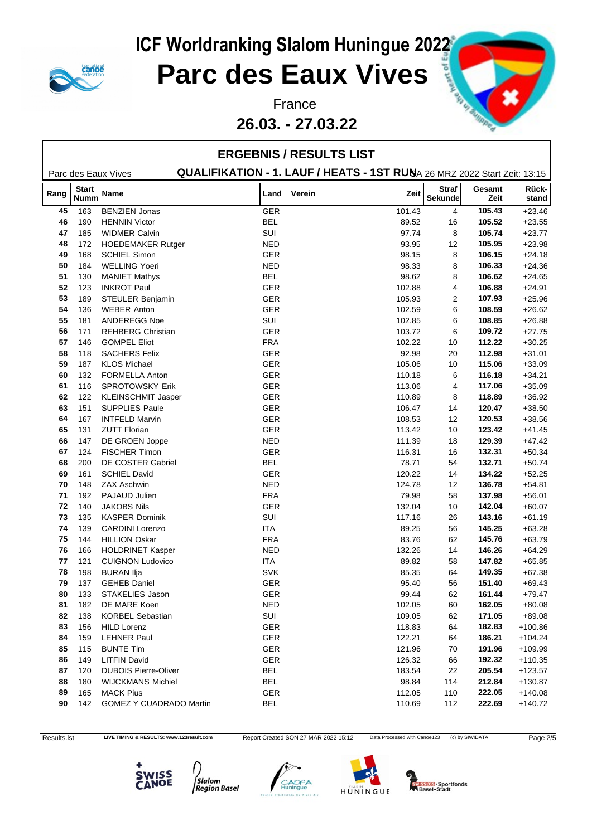

### **Parc des Eaux Vives**

**26.03. - 27.03.22**



|            |                             |                             |            | <b>ERGEBNIS / RESULTS LIST</b>                                           |        |                         |                |                |
|------------|-----------------------------|-----------------------------|------------|--------------------------------------------------------------------------|--------|-------------------------|----------------|----------------|
|            |                             | Parc des Eaux Vives         |            | QUALIFIKATION - 1. LAUF / HEATS - 1ST RUNA 26 MRZ 2022 Start Zeit: 13:15 |        |                         |                |                |
| Rang       | <b>Start</b><br><b>Numm</b> | Name                        | Land       | Verein                                                                   | Zeit   | <b>Straf</b><br>Sekunde | Gesamt<br>Zeit | Rück-<br>stand |
| 45         | 163                         | <b>BENZIEN Jonas</b>        | <b>GER</b> |                                                                          | 101.43 | 4                       | 105.43         | $+23.46$       |
| 46         | 190                         | <b>HENNIN Victor</b>        | <b>BEL</b> |                                                                          | 89.52  | 16                      | 105.52         | $+23.55$       |
| 47         | 185                         | <b>WIDMER Calvin</b>        | SUI        |                                                                          | 97.74  | 8                       | 105.74         | $+23.77$       |
| 48         | 172                         | HOEDEMAKER Rutger           | <b>NED</b> |                                                                          | 93.95  | $12 \overline{ }$       | 105.95         | $+23.98$       |
| 49         | 168                         | SCHIEL Simon                | GER        |                                                                          | 98.15  | 8                       | 106.15         | $+24.18$       |
| 50         | 184                         | <b>WELLING Yoeri</b>        | <b>NED</b> |                                                                          | 98.33  | 8                       | 106.33         | $+24.36$       |
| 51         | 130                         | <b>MANIET Mathys</b>        | <b>BEL</b> |                                                                          | 98.62  | 8                       | 106.62         | $+24.65$       |
| 52         | 123                         | <b>INKROT Paul</b>          | GER        |                                                                          | 102.88 | 4                       | 106.88         | $+24.91$       |
| 53         | 189                         | <b>STEULER Benjamin</b>     | GER        |                                                                          | 105.93 | 2                       | 107.93         | $+25.96$       |
| 54         | 136                         | <b>WEBER Anton</b>          | GER        |                                                                          | 102.59 | 6                       | 108.59         | $+26.62$       |
| 55         | 181                         | ANDEREGG Noe                | SUI        |                                                                          | 102.85 | 6                       | 108.85         | $+26.88$       |
| 56         | 171                         | <b>REHBERG Christian</b>    | <b>GER</b> |                                                                          | 103.72 | 6                       | 109.72         | $+27.75$       |
| 57         | 146                         | <b>GOMPEL Eliot</b>         | <b>FRA</b> |                                                                          | 102.22 | 10                      | 112.22         | $+30.25$       |
| 58         | 118                         | <b>SACHERS Felix</b>        | GER        |                                                                          | 92.98  | 20                      | 112.98         | $+31.01$       |
| 59         | 187                         | <b>KLOS Michael</b>         | <b>GER</b> |                                                                          | 105.06 | 10                      | 115.06         | $+33.09$       |
| 60         | 132                         | <b>FORMELLA Anton</b>       | GER        |                                                                          | 110.18 | 6                       | 116.18         | $+34.21$       |
| 61         | 116                         | SPROTOWSKY Erik             | GER        |                                                                          | 113.06 | 4                       | 117.06         | $+35.09$       |
| 62         | 122                         | <b>KLEINSCHMIT Jasper</b>   | <b>GER</b> |                                                                          | 110.89 | 8                       | 118.89         | $+36.92$       |
| 63         | 151                         | <b>SUPPLIES Paule</b>       | GER        |                                                                          | 106.47 | 14                      | 120.47         | $+38.50$       |
| 64         | 167                         | <b>INTFELD Marvin</b>       | GER        |                                                                          | 108.53 | 12                      | 120.53         | $+38.56$       |
| 65         | 131                         | <b>ZUTT Florian</b>         | <b>GER</b> |                                                                          | 113.42 | 10                      | 123.42         | $+41.45$       |
| 66         | 147                         | DE GROEN Joppe              | <b>NED</b> |                                                                          | 111.39 | 18                      | 129.39         | $+47.42$       |
| 67         | 124                         | FISCHER Timon               | GER        |                                                                          | 116.31 | 16                      | 132.31         | $+50.34$       |
| 68         | 200                         | DE COSTER Gabriel           | <b>BEL</b> |                                                                          | 78.71  | 54                      | 132.71         | $+50.74$       |
| 69         | 161                         | <b>SCHIEL David</b>         | GER        |                                                                          | 120.22 | 14                      | 134.22         | $+52.25$       |
| 70         | 148                         | <b>ZAX Aschwin</b>          | <b>NED</b> |                                                                          | 124.78 | 12                      | 136.78         | $+54.81$       |
| 71         | 192                         | PAJAUD Julien               | <b>FRA</b> |                                                                          | 79.98  | 58                      | 137.98         | $+56.01$       |
| 72         | 140                         | <b>JAKOBS Nils</b>          | GER        |                                                                          | 132.04 | 10                      | 142.04         | $+60.07$       |
| 73         | 135                         | <b>KASPER Dominik</b>       | SUI        |                                                                          | 117.16 | 26                      | 143.16         | $+61.19$       |
| 74         | 139                         | <b>CARDINI Lorenzo</b>      | <b>ITA</b> |                                                                          | 89.25  | 56                      | 145.25         | $+63.28$       |
| 75         | 144                         | <b>HILLION Oskar</b>        | <b>FRA</b> |                                                                          | 83.76  | 62                      | 145.76         | $+63.79$       |
| 76         | 166                         | <b>HOLDRINET Kasper</b>     | <b>NED</b> |                                                                          | 132.26 | 14                      | 146.26         | $+64.29$       |
| 77         | 121                         | <b>CUIGNON Ludovico</b>     | <b>ITA</b> |                                                                          | 89.82  | 58                      | 147.82         | $+65.85$       |
| 78         | 198                         | <b>BURAN IIja</b>           | <b>SVK</b> |                                                                          | 85.35  | 64                      | 149.35         | $+67.38$       |
| 79         | 137                         | <b>GEHEB Daniel</b>         | <b>GER</b> |                                                                          | 95.40  | 56                      | 151.40         | $+69.43$       |
| ${\bf 80}$ | 133                         | STAKELIES Jason             | GER        |                                                                          | 99.44  | 62                      | 161.44         | $+79.47$       |
| 81         | 182                         | DE MARE Koen                | <b>NED</b> |                                                                          | 102.05 | 60                      | 162.05         | $+80.08$       |
| 82         | 138                         | <b>KORBEL Sebastian</b>     | SUI        |                                                                          | 109.05 | 62                      | 171.05         | $+89.08$       |
| 83         | 156                         | <b>HILD Lorenz</b>          | <b>GER</b> |                                                                          | 118.83 | 64                      | 182.83         | $+100.86$      |
| 84         | 159                         | <b>LEHNER Paul</b>          | GER        |                                                                          | 122.21 | 64                      | 186.21         | $+104.24$      |
| 85         | 115                         | <b>BUNTE Tim</b>            | GER        |                                                                          | 121.96 | 70                      | 191.96         | +109.99        |
| 86         | 149                         | <b>LITFIN David</b>         | GER        |                                                                          | 126.32 | 66                      | 192.32         | $+110.35$      |
| 87         | 120                         | <b>DUBOIS Pierre-Oliver</b> | <b>BEL</b> |                                                                          | 183.54 | 22                      | 205.54         | $+123.57$      |
| 88         | 180                         | <b>WIJCKMANS Michiel</b>    | <b>BEL</b> |                                                                          | 98.84  | 114                     | 212.84         | $+130.87$      |
| 89         | 165                         | <b>MACK Pius</b>            | <b>GER</b> |                                                                          | 112.05 | 110                     | 222.05         | $+140.08$      |
| 90         | 142                         | GOMEZ Y CUADRADO Martin     | <b>BEL</b> |                                                                          | 110.69 | 112                     | 222.69         | $+140.72$      |

Results.lst LIVE TIMING & RESULTS: www.123result.com Report Created SON 27 MÄR 2022 15:12 Data Processed with Canoe123 (c) by SIWIDATA Page 2/5









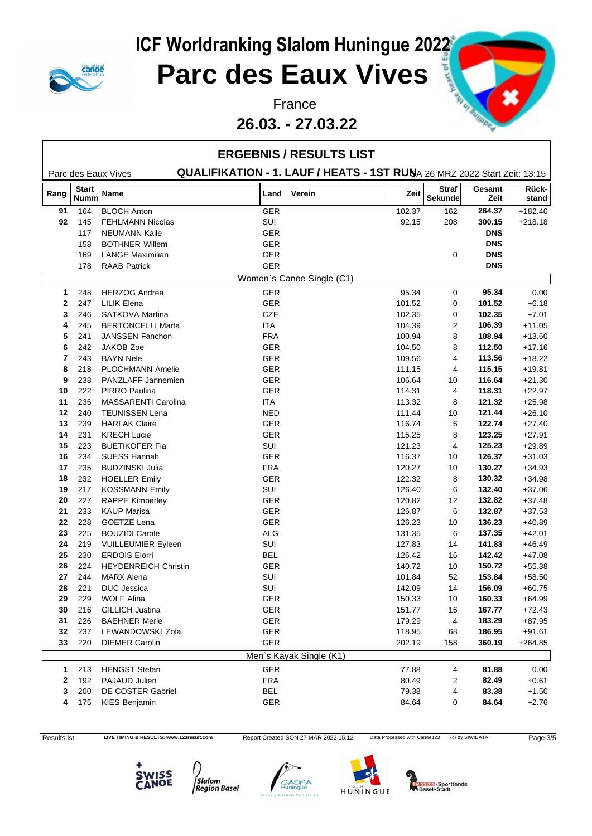

### **Parc des Eaux Vives**

#### **26.03. - 27.03.22**



|                |                             |                             | <b>ERGEBNIS / RESULTS LIST</b>                                           |                           |        |                         |                |                |
|----------------|-----------------------------|-----------------------------|--------------------------------------------------------------------------|---------------------------|--------|-------------------------|----------------|----------------|
|                |                             | Parc des Eaux Vives         | QUALIFIKATION - 1. LAUF / HEATS - 1ST RUNA 26 MRZ 2022 Start Zeit: 13:15 |                           |        |                         |                |                |
| Rang           | <b>Start</b><br><b>Numm</b> | Name                        | Land                                                                     | Verein                    | Zeit   | <b>Straf</b><br>Sekunde | Gesamt<br>Zeit | Rück-<br>stand |
| 91             | 164                         | <b>BLOCH Anton</b>          | <b>GER</b>                                                               |                           | 102.37 | 162                     | 264.37         | $+182.40$      |
| 92             | 145                         | <b>FEHLMANN Nicolas</b>     | SUI                                                                      |                           | 92.15  | 208                     | 300.15         | $+218.18$      |
|                | 117                         | <b>NEUMANN Kalle</b>        | <b>GER</b>                                                               |                           |        |                         | <b>DNS</b>     |                |
|                | 158                         | <b>BOTHNER Willem</b>       | <b>GER</b>                                                               |                           |        |                         | <b>DNS</b>     |                |
|                | 169                         | <b>LANGE Maximilian</b>     | <b>GER</b>                                                               |                           |        | 0                       | <b>DNS</b>     |                |
|                | 178                         | <b>RAAB Patrick</b>         | <b>GER</b>                                                               |                           |        |                         | <b>DNS</b>     |                |
|                |                             |                             |                                                                          | Women's Canoe Single (C1) |        |                         |                |                |
| $\mathbf{1}$   | 248                         | <b>HERZOG Andrea</b>        | <b>GER</b>                                                               |                           | 95.34  | 0                       | 95.34          | 0.00           |
| $\mathbf{2}$   | 247                         | <b>LILIK Elena</b>          | GER                                                                      |                           | 101.52 | 0                       | 101.52         | $+6.18$        |
| 3              | 246                         | <b>SATKOVA Martina</b>      | <b>CZE</b>                                                               |                           | 102.35 | 0                       | 102.35         | $+7.01$        |
| 4              | 245                         | <b>BERTONCELLI Marta</b>    | <b>ITA</b>                                                               |                           | 104.39 | 2                       | 106.39         | $+11.05$       |
| 5              | 241                         | <b>JANSSEN Fanchon</b>      | <b>FRA</b>                                                               |                           | 100.94 | 8                       | 108.94         | $+13.60$       |
| 6              | 242                         | JAKOB Zoe                   | <b>GER</b>                                                               |                           | 104.50 | 8                       | 112.50         | $+17.16$       |
| $\overline{7}$ | 243                         | <b>BAYN Nele</b>            | GER                                                                      |                           | 109.56 | 4                       | 113.56         | $+18.22$       |
| 8              | 218                         | <b>PLOCHMANN Amelie</b>     | <b>GER</b>                                                               |                           | 111.15 | 4                       | 115.15         | $+19.81$       |
| 9              | 238                         | PANZLAFF Jannemien          | GER                                                                      |                           | 106.64 | 10                      | 116.64         | $+21.30$       |
| 10             | 222                         | PIRRO Paulina               | <b>GER</b>                                                               |                           | 114.31 | 4                       | 118.31         | $+22.97$       |
| 11             | 236                         | MASSARENTI Carolina         | ITA                                                                      |                           | 113.32 | 8                       | 121.32         | $+25.98$       |
| 12             | 240                         | <b>TEUNISSEN Lena</b>       | <b>NED</b>                                                               |                           | 111.44 | 10                      | 121.44         | $+26.10$       |
| 13             | 239                         | <b>HARLAK Claire</b>        | <b>GER</b>                                                               |                           | 116.74 | 6                       | 122.74         | $+27.40$       |
| 14             | 231                         | <b>KRECH Lucie</b>          | <b>GER</b>                                                               |                           | 115.25 | 8                       | 123.25         | $+27.91$       |
| 15             | 223                         | <b>BUETIKOFER Fia</b>       | SUI                                                                      |                           | 121.23 | 4                       | 125.23         | $+29.89$       |
| 16             | 234                         | <b>SUESS Hannah</b>         | GER                                                                      |                           | 116.37 | 10                      | 126.37         | $+31.03$       |
| 17             | 235                         | <b>BUDZINSKI Julia</b>      | <b>FRA</b>                                                               |                           | 120.27 | 10                      | 130.27         | $+34.93$       |
| 18             | 232                         | <b>HOELLER Emily</b>        | GER                                                                      |                           | 122.32 | 8                       | 130.32         | $+34.98$       |
| 19             | 217                         | <b>KOSSMANN Emily</b>       | SUI                                                                      |                           | 126.40 | 6                       | 132.40         | $+37.06$       |
| 20             | 227                         | <b>RAPPE Kimberley</b>      | <b>GER</b>                                                               |                           | 120.82 | 12                      | 132.82         | $+37.48$       |
| 21             | 233                         | <b>KAUP Marisa</b>          | GER                                                                      |                           | 126.87 | 6                       | 132.87         | $+37.53$       |
| 22             | 228                         | GOETZE Lena                 | GER                                                                      |                           | 126.23 | 10                      | 136.23         | $+40.89$       |
| 23             | 225                         | <b>BOUZIDI Carole</b>       | ALG                                                                      |                           | 131.35 | 6                       | 137.35         | $+42.01$       |
| 24             | 219                         | <b>VUILLEUMIER Eyleen</b>   | SUI                                                                      |                           | 127.83 | 14                      | 141.83         | $+46.49$       |
| 25             | 230                         | <b>ERDOIS Elorri</b>        | <b>BEL</b>                                                               |                           | 126.42 | 16                      | 142.42         | $+47.08$       |
| 26             | 224                         | <b>HEYDENREICH Christin</b> | <b>GER</b>                                                               |                           | 140.72 | 10                      | 150.72         | $+55.38$       |
| 27             | 244                         | <b>MARX Alena</b>           | SUI                                                                      |                           | 101.84 | 52                      | 153.84         | $+58.50$       |
| 28             | 221                         | <b>DUC</b> Jessica          | SUI                                                                      |                           | 142.09 | 14                      | 156.09         | $+60.75$       |
| 29             | 229                         | <b>WOLF Alina</b>           | GER                                                                      |                           | 150.33 | 10                      | 160.33         | $+64.99$       |
| 30             | 216                         | <b>GILLICH Justina</b>      | GER                                                                      |                           | 151.77 | 16                      | 167.77         | $+72.43$       |
| 31             | 226                         | <b>BAEHNER Merle</b>        | GER                                                                      |                           | 179.29 | 4                       | 183.29         | $+87.95$       |
| 32             | 237                         | LEWANDOWSKI Zola            | GER                                                                      |                           | 118.95 | 68                      | 186.95         | $+91.61$       |
| 33             | 220                         | <b>DIEMER Carolin</b>       | GER                                                                      |                           | 202.19 | 158                     | 360.19         | $+264.85$      |
|                |                             |                             |                                                                          | Men's Kayak Single (K1)   |        |                         |                |                |
| $\mathbf{1}$   | 213                         | <b>HENGST Stefan</b>        | GER                                                                      |                           | 77.88  | 4                       | 81.88          | 0.00           |
| 2              | 192                         | PAJAUD Julien               | <b>FRA</b>                                                               |                           | 80.49  | 2                       | 82.49          | $+0.61$        |
| 3              | 200                         | DE COSTER Gabriel           | <b>BEL</b>                                                               |                           | 79.38  | 4                       | 83.38          | $+1.50$        |
| 4              | 175                         | <b>KIES Benjamin</b>        | GER                                                                      |                           | 84.64  | 0                       | 84.64          | $+2.76$        |

Results.lst LIVE TIMING & RESULTS: www.123result.com Report Created SON 27 MÄR 2022 15:12 Data Processed with Canoe123 (c) by SIWIDATA Page 3/5









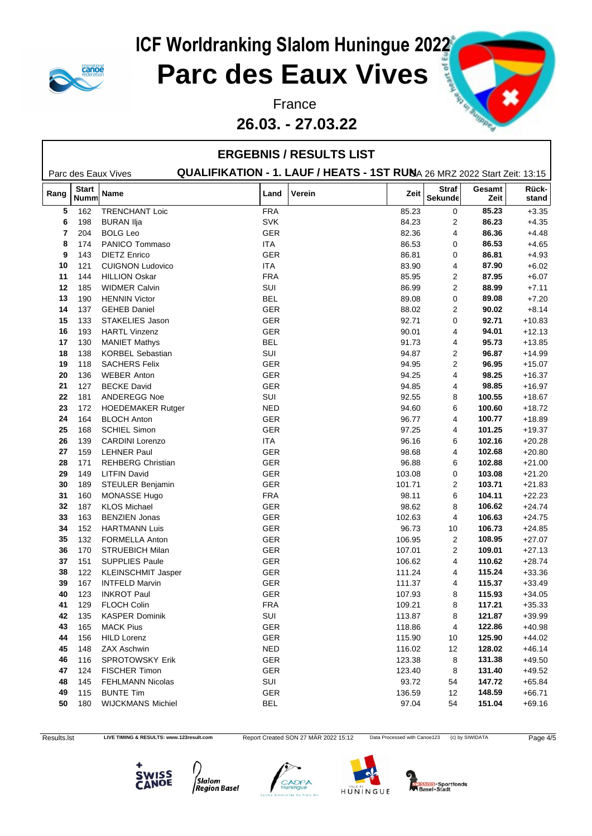

### **Parc des Eaux Vives**

**26.03. - 27.03.22**



|      |                             |                           |            | <b>ERGEBNIS / RESULTS LIST</b>                                           |        |                         |                |                |
|------|-----------------------------|---------------------------|------------|--------------------------------------------------------------------------|--------|-------------------------|----------------|----------------|
|      |                             | Parc des Eaux Vives       |            | QUALIFIKATION - 1. LAUF / HEATS - 1ST RUNA 26 MRZ 2022 Start Zeit: 13:15 |        |                         |                |                |
| Rang | <b>Start</b><br><b>Numm</b> | Name                      | Land       | Verein                                                                   | Zeit   | <b>Straf</b><br>Sekunde | Gesamt<br>Zeit | Rück-<br>stand |
| 5    | 162                         | <b>TRENCHANT Loic</b>     | <b>FRA</b> |                                                                          | 85.23  | $\mathbf 0$             | 85.23          | $+3.35$        |
| 6    | 198                         | <b>BURAN Ilja</b>         | <b>SVK</b> |                                                                          | 84.23  | 2                       | 86.23          | $+4.35$        |
| 7    | 204                         | <b>BOLG Leo</b>           | <b>GER</b> |                                                                          | 82.36  | 4                       | 86.36          | $+4.48$        |
| 8    | 174                         | PANICO Tommaso            | <b>ITA</b> |                                                                          | 86.53  | 0                       | 86.53          | $+4.65$        |
| 9    | 143                         | <b>DIETZ Enrico</b>       | <b>GER</b> |                                                                          | 86.81  | 0                       | 86.81          | $+4.93$        |
| 10   | 121                         | <b>CUIGNON Ludovico</b>   | ITA        |                                                                          | 83.90  | 4                       | 87.90          | $+6.02$        |
| 11   | 144                         | <b>HILLION Oskar</b>      | <b>FRA</b> |                                                                          | 85.95  | 2                       | 87.95          | $+6.07$        |
| 12   | 185                         | <b>WIDMER Calvin</b>      | SUI        |                                                                          | 86.99  | 2                       | 88.99          | $+7.11$        |
| 13   | 190                         | <b>HENNIN Victor</b>      | <b>BEL</b> |                                                                          | 89.08  | 0                       | 89.08          | $+7.20$        |
| 14   | 137                         | <b>GEHEB Daniel</b>       | <b>GER</b> |                                                                          | 88.02  | 2                       | 90.02          | $+8.14$        |
| 15   | 133                         | STAKELIES Jason           | <b>GER</b> |                                                                          | 92.71  | 0                       | 92.71          | $+10.83$       |
| 16   | 193                         | <b>HARTL Vinzenz</b>      | GER        |                                                                          | 90.01  | 4                       | 94.01          | $+12.13$       |
| 17   | 130                         | <b>MANIET Mathys</b>      | <b>BEL</b> |                                                                          | 91.73  | 4                       | 95.73          | $+13.85$       |
| 18   | 138                         | <b>KORBEL Sebastian</b>   | SUI        |                                                                          | 94.87  | 2                       | 96.87          | $+14.99$       |
| 19   | 118                         | <b>SACHERS Felix</b>      | <b>GER</b> |                                                                          | 94.95  | 2                       | 96.95          | $+15.07$       |
| 20   | 136                         | <b>WEBER Anton</b>        | <b>GER</b> |                                                                          | 94.25  | 4                       | 98.25          | $+16.37$       |
| 21   | 127                         | <b>BECKE David</b>        | <b>GER</b> |                                                                          | 94.85  | 4                       | 98.85          | $+16.97$       |
| 22   | 181                         | ANDEREGG Noe              | SUI        |                                                                          | 92.55  | 8                       | 100.55         | $+18.67$       |
| 23   | 172                         | <b>HOEDEMAKER Rutger</b>  | <b>NED</b> |                                                                          | 94.60  | 6                       | 100.60         | $+18.72$       |
| 24   | 164                         | <b>BLOCH Anton</b>        | <b>GER</b> |                                                                          | 96.77  | 4                       | 100.77         | $+18.89$       |
| 25   | 168                         | <b>SCHIEL Simon</b>       | <b>GER</b> |                                                                          | 97.25  | 4                       | 101.25         | $+19.37$       |
| 26   | 139                         | <b>CARDINI Lorenzo</b>    | ITA        |                                                                          | 96.16  | 6                       | 102.16         | $+20.28$       |
| 27   | 159                         | <b>LEHNER Paul</b>        | <b>GER</b> |                                                                          | 98.68  | 4                       | 102.68         | $+20.80$       |
| 28   | 171                         | <b>REHBERG Christian</b>  | <b>GER</b> |                                                                          | 96.88  | 6                       | 102.88         | $+21.00$       |
| 29   | 149                         | <b>LITFIN David</b>       | <b>GER</b> |                                                                          | 103.08 | 0                       | 103.08         | $+21.20$       |
| 30   | 189                         | STEULER Benjamin          | <b>GER</b> |                                                                          | 101.71 | 2                       | 103.71         | $+21.83$       |
| 31   | 160                         | MONASSE Hugo              | <b>FRA</b> |                                                                          | 98.11  | 6                       | 104.11         | $+22.23$       |
| 32   | 187                         | <b>KLOS Michael</b>       | <b>GER</b> |                                                                          | 98.62  | 8                       | 106.62         | $+24.74$       |
| 33   | 163                         | <b>BENZIEN Jonas</b>      | <b>GER</b> |                                                                          | 102.63 | 4                       | 106.63         | $+24.75$       |
| 34   | 152                         | <b>HARTMANN Luis</b>      | GER        |                                                                          | 96.73  | 10                      | 106.73         | $+24.85$       |
| 35   | 132                         | FORMELLA Anton            | <b>GER</b> |                                                                          | 106.95 | $\overline{2}$          | 108.95         | $+27.07$       |
| 36   | 170                         | <b>STRUEBICH Milan</b>    | GER        |                                                                          | 107.01 | 2                       | 109.01         | $+27.13$       |
| 37   | 151                         | SUPPLIES Paule            | GER        |                                                                          | 106.62 | 4                       | 110.62         | $+28.74$       |
| 38   | 122                         | <b>KLEINSCHMIT Jasper</b> | <b>GER</b> |                                                                          | 111.24 | 4                       | 115.24         | $+33.36$       |
| 39   | 167                         | <b>INTFELD Marvin</b>     | <b>GER</b> |                                                                          | 111.37 | 4                       | 115.37         | $+33.49$       |
| 40   | 123                         | <b>INKROT Paul</b>        | GER        |                                                                          | 107.93 | 8                       | 115.93         | $+34.05$       |
| 41   | 129                         | <b>FLOCH Colin</b>        | <b>FRA</b> |                                                                          | 109.21 | 8                       | 117.21         | $+35.33$       |
| 42   | 135                         | <b>KASPER Dominik</b>     | SUI        |                                                                          | 113.87 | 8                       | 121.87         | $+39.99$       |
| 43   | 165                         | <b>MACK Pius</b>          | GER        |                                                                          | 118.86 | 4                       | 122.86         | $+40.98$       |
| 44   | 156                         | <b>HILD Lorenz</b>        | GER        |                                                                          | 115.90 | 10                      | 125.90         | $+44.02$       |
| 45   | 148                         | <b>ZAX Aschwin</b>        | <b>NED</b> |                                                                          | 116.02 | 12                      | 128.02         | $+46.14$       |
| 46   | 116                         | SPROTOWSKY Erik           | GER        |                                                                          | 123.38 | 8                       | 131.38         | $+49.50$       |
| 47   | 124                         | <b>FISCHER Timon</b>      | GER        |                                                                          | 123.40 | 8                       | 131.40         | $+49.52$       |
| 48   | 145                         | <b>FEHLMANN Nicolas</b>   | SUI        |                                                                          | 93.72  | 54                      | 147.72         | $+65.84$       |
| 49   | 115                         | <b>BUNTE Tim</b>          | GER        |                                                                          | 136.59 | 12                      | 148.59         | $+66.71$       |
| 50   | 180                         | <b>WIJCKMANS Michiel</b>  | <b>BEL</b> |                                                                          | 97.04  | 54                      | 151.04         | $+69.16$       |
|      |                             |                           |            |                                                                          |        |                         |                |                |

Results.lst LIVE TIMING & RESULTS: www.123result.com Report Created SON 27 MÄR 2022 15:12 Data Processed with Canoe123 (c) by SIWIDATA Page 4/5









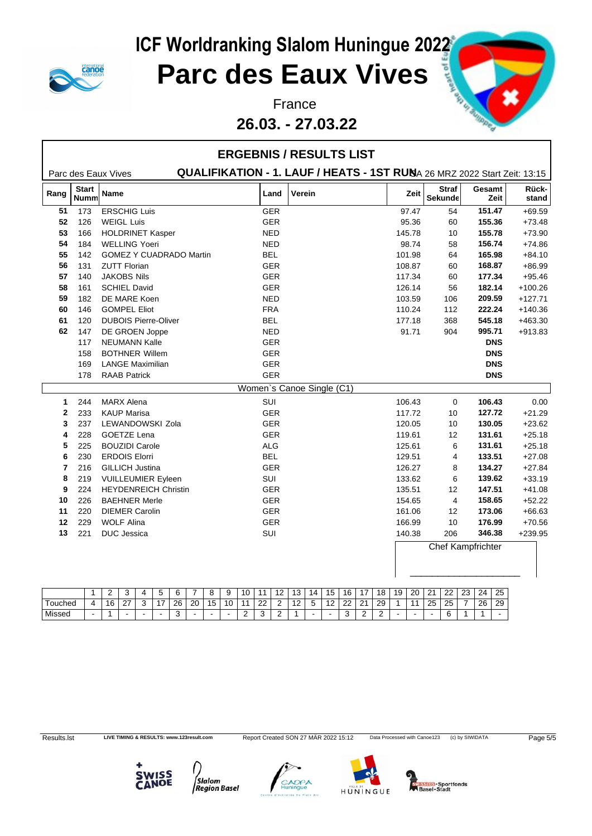

### **Parc des Eaux Vives**

#### **26.03. - 27.03.22**



|              |                             |                                                                         |            | <b>ERGEBNIS / RESULTS LIST</b>                                           |        |                                |                |                |
|--------------|-----------------------------|-------------------------------------------------------------------------|------------|--------------------------------------------------------------------------|--------|--------------------------------|----------------|----------------|
|              |                             | Parc des Eaux Vives                                                     |            | QUALIFIKATION - 1. LAUF / HEATS - 1ST RUNA 26 MRZ 2022 Start Zeit: 13:15 |        |                                |                |                |
| Rang         | <b>Start</b><br><b>Numm</b> | Name                                                                    | Land       | Verein                                                                   | Zeit   | <b>Straf</b><br><b>Sekunde</b> | Gesamt<br>Zeit | Rück-<br>stand |
| 51           | 173                         | <b>ERSCHIG Luis</b>                                                     | <b>GER</b> |                                                                          | 97.47  | 54                             | 151.47         | $+69.59$       |
| 52           | 126                         | <b>WEIGL Luis</b>                                                       | GER        |                                                                          | 95.36  | 60                             | 155.36         | $+73.48$       |
| 53           | 166                         | <b>HOLDRINET Kasper</b>                                                 | <b>NED</b> |                                                                          | 145.78 | 10                             | 155.78         | $+73.90$       |
| 54           | 184                         | <b>WELLING Yoeri</b>                                                    | <b>NED</b> |                                                                          | 98.74  | 58                             | 156.74         | $+74.86$       |
| 55           | 142                         | <b>GOMEZ Y CUADRADO Martin</b>                                          | <b>BEL</b> |                                                                          | 101.98 | 64                             | 165.98         | $+84.10$       |
| 56           | 131                         | <b>ZUTT Florian</b>                                                     | <b>GER</b> |                                                                          | 108.87 | 60                             | 168.87         | $+86.99$       |
| 57           | 140                         | <b>JAKOBS Nils</b>                                                      | GER        |                                                                          | 117.34 | 60                             | 177.34         | $+95.46$       |
| 58           | 161                         | <b>SCHIEL David</b>                                                     | GER        |                                                                          | 126.14 | 56                             | 182.14         | $+100.26$      |
| 59           | 182                         | DE MARE Koen                                                            | <b>NED</b> |                                                                          | 103.59 | 106                            | 209.59         | $+127.71$      |
| 60           | 146                         | <b>GOMPEL Eliot</b>                                                     | <b>FRA</b> |                                                                          | 110.24 | 112                            | 222.24         | $+140.36$      |
| 61           | 120                         | <b>DUBOIS Pierre-Oliver</b>                                             | <b>BEL</b> |                                                                          | 177.18 | 368                            | 545.18         | $+463.30$      |
| 62           | 147                         | DE GROEN Joppe                                                          | <b>NED</b> |                                                                          | 91.71  | 904                            | 995.71         | $+913.83$      |
|              | 117                         | <b>NEUMANN Kalle</b>                                                    | GER        |                                                                          |        |                                | <b>DNS</b>     |                |
|              | 158                         | <b>BOTHNER Willem</b>                                                   | GER        |                                                                          |        |                                | <b>DNS</b>     |                |
|              | 169                         | <b>LANGE Maximilian</b>                                                 | GER        |                                                                          |        |                                | <b>DNS</b>     |                |
|              | 178                         | <b>RAAB Patrick</b>                                                     | GER        |                                                                          |        |                                | <b>DNS</b>     |                |
|              |                             |                                                                         |            | Women's Canoe Single (C1)                                                |        |                                |                |                |
| 1            | 244                         | <b>MARX Alena</b>                                                       | SUI        |                                                                          | 106.43 | 0                              | 106.43         | 0.00           |
| $\mathbf{2}$ | 233                         | <b>KAUP Marisa</b>                                                      | <b>GER</b> |                                                                          | 117.72 | 10                             | 127.72         | $+21.29$       |
| 3            | 237                         | LEWANDOWSKI Zola                                                        | GER        |                                                                          | 120.05 | 10                             | 130.05         | $+23.62$       |
| 4            | 228                         | <b>GOETZE Lena</b>                                                      | GER        |                                                                          | 119.61 | 12                             | 131.61         | $+25.18$       |
| 5            | 225                         | <b>BOUZIDI Carole</b>                                                   | <b>ALG</b> |                                                                          | 125.61 | 6                              | 131.61         | $+25.18$       |
| 6            | 230                         | <b>ERDOIS Elorri</b>                                                    | <b>BEL</b> |                                                                          | 129.51 | 4                              | 133.51         | $+27.08$       |
| 7            | 216                         | <b>GILLICH Justina</b>                                                  | <b>GER</b> |                                                                          | 126.27 | 8                              | 134.27         | $+27.84$       |
| 8            | 219                         | <b>VUILLEUMIER Eyleen</b>                                               | <b>SUI</b> |                                                                          | 133.62 | 6                              | 139.62         | $+33.19$       |
| 9            | 224                         | <b>HEYDENREICH Christin</b>                                             | GER        |                                                                          | 135.51 | 12                             | 147.51         | $+41.08$       |
| 10           | 226                         | <b>BAEHNER Merle</b>                                                    | <b>GER</b> |                                                                          | 154.65 | 4                              | 158.65         | $+52.22$       |
| 11           | 220                         | <b>DIEMER Carolin</b>                                                   | GER        |                                                                          | 161.06 | 12                             | 173.06         | $+66.63$       |
| 12           | 229                         | <b>WOLF Alina</b>                                                       | <b>GER</b> |                                                                          | 166.99 | 10                             | 176.99         | $+70.56$       |
| 13           | 221                         | DUC Jessica                                                             | <b>SUI</b> |                                                                          | 140.38 | 206                            | 346.38         | $+239.95$      |
|              |                             |                                                                         |            |                                                                          |        | Chef Kampfrichter              |                |                |
|              |                             |                                                                         |            |                                                                          |        |                                |                |                |
|              |                             |                                                                         |            |                                                                          |        |                                |                |                |
|              | $\mathbf{1}$                | $\overline{2}$<br>3<br>4<br>5<br>6<br>$\overline{7}$<br>8<br>9<br>10 11 | 12         | 13   14   15   16   17   18   19   20   21   22   23   24   25           |        |                                |                |                |

|         |                | <u>_</u> | v                        | $\mathbf{u}$ | 'n            | n  | -  |           | У  | $\overline{ }$<br>ΙU | $\overline{A}$ | $\sqrt{2}$<br>$\sim$ | 13          | 14                            | 15                    | 16          | $\overline{a}$                | 18           | 10. | 20<br>ΣU       | $\Omega$<br>. . | 22          | $\sim$<br>ںے             | 24 | 25            |
|---------|----------------|----------|--------------------------|--------------|---------------|----|----|-----------|----|----------------------|----------------|----------------------|-------------|-------------------------------|-----------------------|-------------|-------------------------------|--------------|-----|----------------|-----------------|-------------|--------------------------|----|---------------|
| ⊺ouched | $\overline{ }$ | 16       | $\sim$<br>ا کے           | $\sim$<br>∼  | $\rightarrow$ | 26 | 20 | 15<br>ט ו | 10 | . .                  | ົດດ<br>--      | _                    | $\sim$<br>L | $\overline{\phantom{0}}$<br>ັ | $\overline{10}$<br>12 | $\sim$<br>∼ | $\sim$<br>∼                   | $\sim$<br>29 |     | $\overline{A}$ | 25              | 25          | $\overline{\phantom{a}}$ | 26 | $\sim$<br>-29 |
| Missed  | . .            |          | $\overline{\phantom{a}}$ |              | -             | ັ  |    |           |    | -                    | $\sim$<br>.    | —                    |             |                               | . .                   | ∽<br>       | $\overline{\phantom{0}}$<br>- |              |     |                |                 | $\sim$<br>ື |                          |    | -             |

Results.lst LIVE TIMING & RESULTS: www.123result.com Report Created SON 27 MÄR 2022 15:12 Data Processed with Canoe123 (c) by SIWIDATA Page 5/5







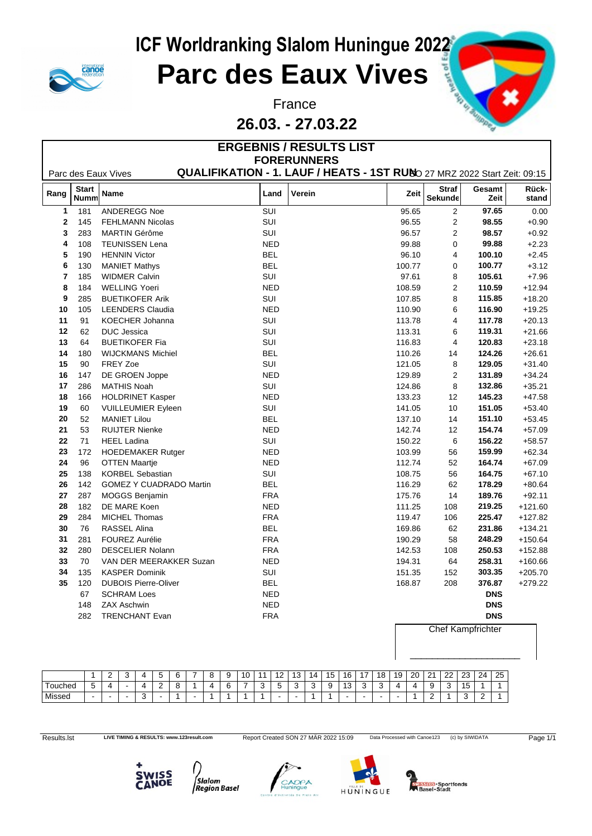

Г

# **ICF Worldranking Slalom Huningue 2022<br>
Parc des Eaux Vives**

#### **Parc des Eaux Vives**

#### France **France Hunter of Strategy Press, and the Strategy Press, and the Strategy Press, and the Strategy Press, and the Strategy Press, and the Strategy Press, and the Strategy Press, and the Strategy Press, and the Str 26.03. - 27.03.22**

|                         |                             |                                |            | <b>ERGEBNIS / RESULTS LIST</b>                                           |        |                                |                          |                |
|-------------------------|-----------------------------|--------------------------------|------------|--------------------------------------------------------------------------|--------|--------------------------------|--------------------------|----------------|
|                         |                             |                                |            | <b>FORERUNNERS</b>                                                       |        |                                |                          |                |
|                         |                             | Parc des Eaux Vives            |            | QUALIFIKATION - 1. LAUF / HEATS - 1ST RUNO 27 MRZ 2022 Start Zeit: 09:15 |        |                                |                          |                |
| Rang                    | <b>Start</b><br><b>Numm</b> | Name                           | Land       | Verein                                                                   | Zeit   | <b>Straf</b><br><b>Sekunde</b> | Gesamt<br>Zeit           | Rück-<br>stand |
| $\mathbf{1}$            | 181                         | ANDEREGG Noe                   | <b>SUI</b> |                                                                          | 95.65  | $\overline{2}$                 | 97.65                    | 0.00           |
| $\mathbf 2$             | 145                         | <b>FEHLMANN Nicolas</b>        | SUI        |                                                                          | 96.55  | $\mathbf{2}$                   | 98.55                    | $+0.90$        |
| 3                       | 283                         | <b>MARTIN Gérôme</b>           | SUI        |                                                                          | 96.57  | $\mathbf{2}$                   | 98.57                    | $+0.92$        |
| 4                       | 108                         | <b>TEUNISSEN Lena</b>          | <b>NED</b> |                                                                          | 99.88  | $\mathbf 0$                    | 99.88                    | $+2.23$        |
| 5                       | 190                         | <b>HENNIN Victor</b>           | <b>BEL</b> |                                                                          | 96.10  | 4                              | 100.10                   | $+2.45$        |
| 6                       | 130                         | <b>MANIET Mathys</b>           | <b>BEL</b> |                                                                          | 100.77 | 0                              | 100.77                   | $+3.12$        |
| $\overline{\mathbf{r}}$ | 185                         | <b>WIDMER Calvin</b>           | <b>SUI</b> |                                                                          | 97.61  | 8                              | 105.61                   | $+7.96$        |
| 8                       | 184                         | <b>WELLING Yoeri</b>           | <b>NED</b> |                                                                          | 108.59 | $\overline{2}$                 | 110.59                   | $+12.94$       |
| 9                       | 285                         | <b>BUETIKOFER Arik</b>         | SUI        |                                                                          | 107.85 | 8                              | 115.85                   | $+18.20$       |
| 10                      | 105                         | <b>LEENDERS Claudia</b>        | <b>NED</b> |                                                                          | 110.90 | 6                              | 116.90                   | $+19.25$       |
| 11                      | 91                          | <b>KOECHER Johanna</b>         | SUI        |                                                                          | 113.78 | 4                              | 117.78                   | $+20.13$       |
| 12                      | 62                          | <b>DUC</b> Jessica             | SUI        |                                                                          | 113.31 | 6                              | 119.31                   | $+21.66$       |
| 13                      | 64                          | <b>BUETIKOFER Fia</b>          | <b>SUI</b> |                                                                          | 116.83 | $\overline{4}$                 | 120.83                   | $+23.18$       |
| 14                      | 180                         | <b>WIJCKMANS Michiel</b>       | <b>BEL</b> |                                                                          | 110.26 | 14                             | 124.26                   | $+26.61$       |
| 15                      | 90                          | FREY Zoe                       | <b>SUI</b> |                                                                          | 121.05 | 8                              | 129.05                   | $+31.40$       |
| 16                      | 147                         | DE GROEN Joppe                 | <b>NED</b> |                                                                          | 129.89 | 2                              | 131.89                   | $+34.24$       |
| 17                      | 286                         | <b>MATHIS Noah</b>             | SUI        |                                                                          | 124.86 | 8                              | 132.86                   | $+35.21$       |
| 18                      | 166                         | <b>HOLDRINET Kasper</b>        | <b>NED</b> |                                                                          | 133.23 | 12                             | 145.23                   | $+47.58$       |
| 19                      | 60                          | <b>VUILLEUMIER Eyleen</b>      | <b>SUI</b> |                                                                          | 141.05 | 10                             | 151.05                   | $+53.40$       |
| 20                      | 52                          | <b>MANIET Lilou</b>            | <b>BEL</b> |                                                                          | 137.10 | 14                             | 151.10                   | $+53.45$       |
| 21                      | 53                          | <b>RUIJTER Nienke</b>          | <b>NED</b> |                                                                          | 142.74 | 12                             | 154.74                   | $+57.09$       |
| 22                      | 71                          | <b>HEEL Ladina</b>             | SUI        |                                                                          | 150.22 | 6                              | 156.22                   | $+58.57$       |
| 23                      | 172                         | <b>HOEDEMAKER Rutger</b>       | <b>NED</b> |                                                                          | 103.99 | 56                             | 159.99                   | $+62.34$       |
| 24                      | 96                          | <b>OTTEN Maartje</b>           | <b>NED</b> |                                                                          | 112.74 | 52                             | 164.74                   | $+67.09$       |
| 25                      | 138                         | <b>KORBEL Sebastian</b>        | SUI        |                                                                          | 108.75 | 56                             | 164.75                   | $+67.10$       |
| 26                      | 142                         | <b>GOMEZ Y CUADRADO Martin</b> | <b>BEL</b> |                                                                          | 116.29 | 62                             | 178.29                   | $+80.64$       |
| 27                      | 287                         | <b>MOGGS Benjamin</b>          | <b>FRA</b> |                                                                          | 175.76 | 14                             | 189.76                   | $+92.11$       |
| 28                      | 182                         | DE MARE Koen                   | <b>NED</b> |                                                                          | 111.25 | 108                            | 219.25                   | $+121.60$      |
| 29                      | 284                         | MICHEL Thomas                  | <b>FRA</b> |                                                                          | 119.47 | 106                            | 225.47                   | $+127.82$      |
| 30                      | 76                          | RASSEL Alina                   | <b>BEL</b> |                                                                          | 169.86 | 62                             | 231.86                   | $+134.21$      |
| 31                      | 281                         | <b>FOUREZ Aurélie</b>          | <b>FRA</b> |                                                                          | 190.29 | 58                             | 248.29                   | $+150.64$      |
| 32                      | 280                         | <b>DESCELIER Nolann</b>        | <b>FRA</b> |                                                                          | 142.53 | 108                            | 250.53                   | $+152.88$      |
| 33                      | 70                          | VAN DER MEERAKKER Suzan        | <b>NED</b> |                                                                          | 194.31 | 64                             | 258.31                   | $+160.66$      |
| 34                      | 135                         | <b>KASPER Dominik</b>          | SUI        |                                                                          | 151.35 | 152                            | 303.35                   | $+205.70$      |
| 35                      | 120                         | <b>DUBOIS Pierre-Oliver</b>    | BEL        |                                                                          | 168.87 | 208                            | 376.87                   | $+279.22$      |
|                         | 67                          | <b>SCHRAM Loes</b>             | <b>NED</b> |                                                                          |        |                                | <b>DNS</b>               |                |
|                         | 148                         | <b>ZAX Aschwin</b>             | <b>NED</b> |                                                                          |        |                                | <b>DNS</b>               |                |
|                         | 282                         | <b>TRENCHANT Evan</b>          | <b>FRA</b> |                                                                          |        |                                | <b>DNS</b>               |                |
|                         |                             |                                |            |                                                                          |        |                                | <b>Chef Kampfrichter</b> |                |

|         |              | $\sim$                   | ູບ                       | 4 | G.                       | 6 | -                        | 8 | - 0    | 10 | 11 | $12 \overline{ }$                        | 13          | 14 | 15 | 16                       | 17          | 18 <sup>1</sup> | 19                       | $20 \mid 21$ |               | 22 | 23      | 124'               | <sup>25</sup> |
|---------|--------------|--------------------------|--------------------------|---|--------------------------|---|--------------------------|---|--------|----|----|------------------------------------------|-------------|----|----|--------------------------|-------------|-----------------|--------------------------|--------------|---------------|----|---------|--------------------|---------------|
| Touched | <sub>5</sub> | ∸                        | $\overline{\phantom{0}}$ |   | ⌒<br><u>.</u>            | ັ |                          | 4 | $\sim$ |    | ັ  | $\overline{\phantom{0}}$<br>$\sim$<br>ັບ | $\sim$<br>ັ | ು  | 9  | 12<br>ں ا                | $\sim$<br>ັ | $\sqrt{2}$<br>ັ |                          | 4            | 9             | ັ  | ιJ      |                    |               |
| Missed  | $\sim$       | $\overline{\phantom{0}}$ | $\overline{\phantom{a}}$ | 3 | $\overline{\phantom{a}}$ |   | $\overline{\phantom{0}}$ |   |        |    |    | $\sim$                                   |             |    |    | $\overline{\phantom{0}}$ |             | $\,$            | $\overline{\phantom{a}}$ |              | ◠<br><u>_</u> |    | $\cdot$ | $\sim$<br><u>_</u> |               |

Results.lst LIVE TIMING & RESULTS: www.123result.com Report Created SON 27 MÄR 2022 15:09 Data Processed with Canoe123 (c) by SIWIDATA Page 1/1









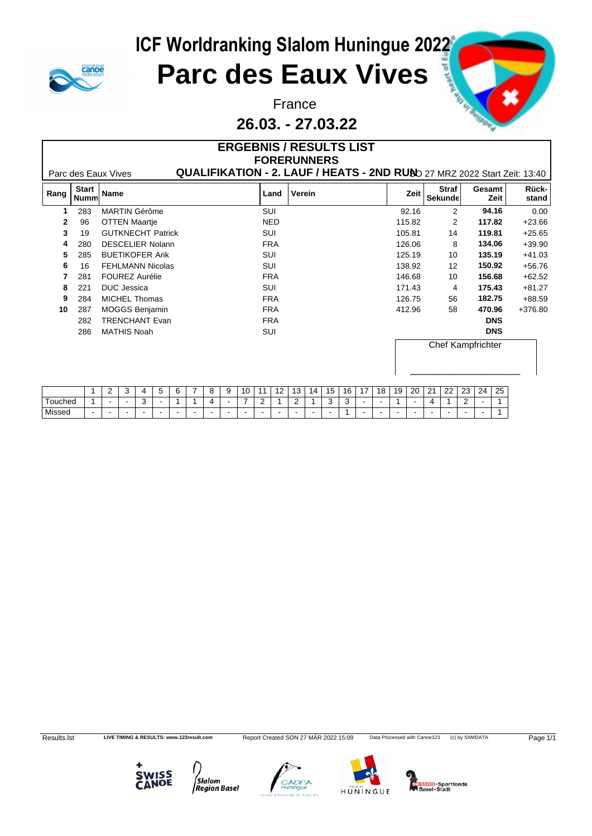

#### France **France Hunter of Strategy Press, and the Strategy Press, and the Strategy Press, and the Strategy Press, and the Strategy Press, and the Strategy Press, and the Strategy Press, and the Strategy Press, and the Str 26.03. - 27.03.22**

|      |                             |                          |            | <b>ERGEBNIS / RESULTS LIST</b><br><b>FORERUNNERS</b>                     |        |                         |                |                |
|------|-----------------------------|--------------------------|------------|--------------------------------------------------------------------------|--------|-------------------------|----------------|----------------|
|      |                             | Parc des Eaux Vives      |            | QUALIFIKATION - 2. LAUF / HEATS - 2ND RUND 27 MRZ 2022 Start Zeit: 13:40 |        |                         |                |                |
| Rang | <b>Start</b><br><b>Numm</b> | Name                     | Land       | Verein                                                                   | Zeit   | <b>Straf</b><br>Sekunde | Gesamt<br>Zeit | Rück-<br>stand |
|      | 283                         | <b>MARTIN Gérôme</b>     | SUI        |                                                                          | 92.16  | 2                       | 94.16          | 0.00           |
| 2    | 96                          | <b>OTTEN Maartje</b>     | <b>NED</b> |                                                                          | 115.82 | $\overline{2}$          | 117.82         | $+23.66$       |
| 3    | 19                          | <b>GUTKNECHT Patrick</b> | SUI        |                                                                          | 105.81 | 14                      | 119.81         | $+25.65$       |
| 4    | 280                         | <b>DESCELIER Nolann</b>  | <b>FRA</b> |                                                                          | 126.06 | 8                       | 134.06         | $+39.90$       |
| 5    | 285                         | <b>BUETIKOFER Arik</b>   | SUI        |                                                                          | 125.19 | 10                      | 135.19         | $+41.03$       |
| 6    | 16                          | <b>FEHLMANN Nicolas</b>  | SUI        |                                                                          | 138.92 | 12                      | 150.92         | $+56.76$       |
|      | 281                         | <b>FOUREZ Aurélie</b>    | <b>FRA</b> |                                                                          | 146.68 | 10                      | 156.68         | $+62.52$       |
| 8    | 221                         | DUC Jessica              | SUI        |                                                                          | 171.43 | 4                       | 175.43         | $+81.27$       |
| 9    | 284                         | MICHEL Thomas            | <b>FRA</b> |                                                                          | 126.75 | 56                      | 182.75         | $+88.59$       |
| 10   | 287                         | MOGGS Benjamin           | <b>FRA</b> |                                                                          | 412.96 | 58                      | 470.96         | +376.80        |
|      | 282                         | <b>TRENCHANT Evan</b>    | <b>FRA</b> |                                                                          |        |                         | <b>DNS</b>     |                |
|      | 286                         | MATHIS Noah              | SUI        |                                                                          |        |                         | <b>DNS</b>     |                |
|      |                             |                          |            |                                                                          |        | Chef Kampfrichter       |                |                |

|                          |     | $\overline{\phantom{a}}$<br><u>_</u> | . .<br>$\cdot$ | z. |  |   | c<br>u         | $\overline{\phantom{0}}$<br>$\cdot$ | $\sqrt{2}$<br>$\mathbf{u}$ |   | $\sqrt{2}$<br>$\overline{\phantom{a}}$<br>. . | $\overline{10}$<br>13 | 14     | 15<br>                       | 16 | $\overline{A}$ | $\Delta$ $\Omega$<br>18. | 10<br>. . | 20 | 21 | $\cap$<br>22 | $\sim$<br>ںے | $\sim$<br>$^{24}$ | 25 |
|--------------------------|-----|--------------------------------------|----------------|----|--|---|----------------|-------------------------------------|----------------------------|---|-----------------------------------------------|-----------------------|--------|------------------------------|----|----------------|--------------------------|-----------|----|----|--------------|--------------|-------------------|----|
| ⊺ouched                  |     | $\sim$                               |                |    |  |   | $\overline{ }$ |                                     |                            | - |                                               | -                     |        | $\overline{\phantom{a}}$<br> | ັ  |                |                          |           |    |    |              |              |                   |    |
| <sup>I</sup> Missed<br>. | . . |                                      |                |    |  | - |                |                                     |                            |   |                                               |                       | $\sim$ |                              |    |                | -                        |           |    |    |              |              |                   |    |

Results.lst LIVE TIMING & RESULTS: www.123result.com Report Created SON 27 MÄR 2022 15:09 Data Processed with Canoe123 (c) by SIWIDATA Page 1/1







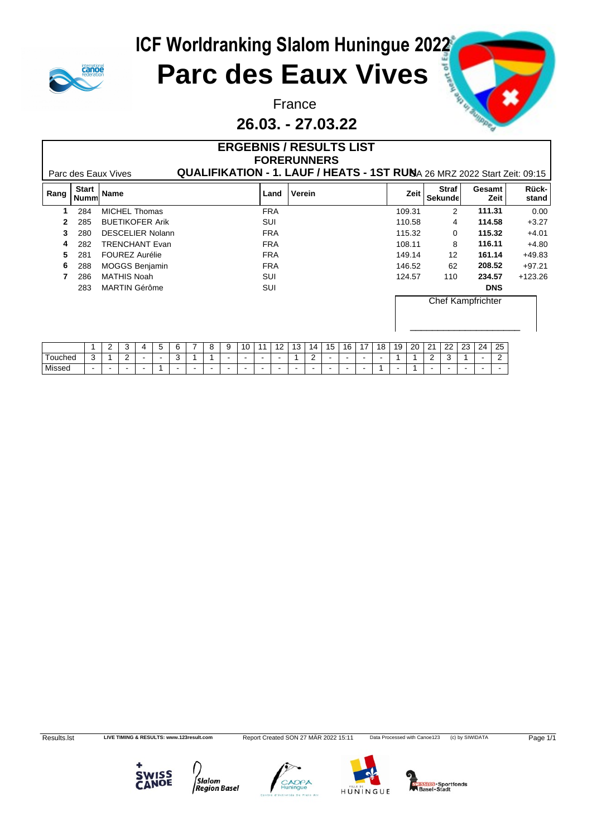

#### France **France Hunter of Strategy Press, and the Strategy Press, and the Strategy Press, and the Strategy Press, and the Strategy Press, and the Strategy Press, and the Strategy Press, and the Strategy Press, and the Str 26.03. - 27.03.22**

|      |                             | Parc des Eaux Vives     | <b>ERGEBNIS / RESULTS LIST</b><br>QUALIFIKATION - 1. LAUF / HEATS - 1ST RUNA 26 MRZ 2022 Start Zeit: 09:15 | <b>FORERUNNERS</b> |        |                          |                |                |
|------|-----------------------------|-------------------------|------------------------------------------------------------------------------------------------------------|--------------------|--------|--------------------------|----------------|----------------|
| Rang | <b>Start</b><br><b>Numm</b> | Name                    | Land                                                                                                       | Verein             | Zeit   | <b>Straf</b><br>Sekunde  | Gesamt<br>Zeit | Rück-<br>stand |
|      | 284                         | MICHEL Thomas           | <b>FRA</b>                                                                                                 |                    | 109.31 | 2                        | 111.31         | 0.00           |
|      | 285                         | <b>BUETIKOFER Arik</b>  | SUI                                                                                                        |                    | 110.58 | 4                        | 114.58         | $+3.27$        |
|      | 280                         | <b>DESCELIER Nolann</b> | <b>FRA</b>                                                                                                 |                    | 115.32 | $\Omega$                 | 115.32         | $+4.01$        |
|      | 282                         | TRENCHANT Evan          | <b>FRA</b>                                                                                                 |                    | 108.11 | 8                        | 116.11         | $+4.80$        |
| 5    | 281                         | <b>FOUREZ Aurélie</b>   | <b>FRA</b>                                                                                                 |                    | 149.14 | 12                       | 161.14         | $+49.83$       |
| 6    | 288                         | <b>MOGGS Benjamin</b>   | <b>FRA</b>                                                                                                 |                    | 146.52 | 62                       | 208.52         | $+97.21$       |
|      | 286                         | <b>MATHIS Noah</b>      | SUI                                                                                                        |                    | 124.57 | 110                      | 234.57         | $+123.26$      |
|      | 283                         | MARTIN Gérôme           | SUI                                                                                                        |                    |        |                          | <b>DNS</b>     |                |
|      |                             |                         |                                                                                                            |                    |        | <b>Chef Kampfrichter</b> |                |                |

|                                     |        | - | ັ           | $\sim$ | ٠. | $\sim$<br>b | <sup>o</sup><br>-<br>u | a<br>$\cdot$ | 10 | $\overline{A}$ | $\overline{a}$ | 12<br>ט ו | $\overline{\phantom{a}}$<br>14 | 15 | 16 | $\overline{ }$ | 18 | 1Q | 20 | 21<br>-     | つつ<br>∠∠          | າາ<br>ں ے | 24 | 25  |
|-------------------------------------|--------|---|-------------|--------|----|-------------|------------------------|--------------|----|----------------|----------------|-----------|--------------------------------|----|----|----------------|----|----|----|-------------|-------------------|-----------|----|-----|
| $\overline{\phantom{0}}$<br>Touched | ົ<br>ັ |   | $\sim$<br>- | . .    |    | ັ           |                        |              |    |                |                |           | -                              |    |    |                |    |    |    | $\sim$<br>- | $\sim$<br>$\cdot$ |           |    | -   |
| Missed                              | $\sim$ |   |             | . .    |    |             |                        |              |    |                |                |           |                                |    |    |                |    |    |    |             |                   |           |    | . . |

Results.lst LIVE TIMING & RESULTS: www.123result.com Report Created SON 27 MÄR 2022 15:11 Data Processed with Canoe123 (c) by SIWIDATA Page 1/1